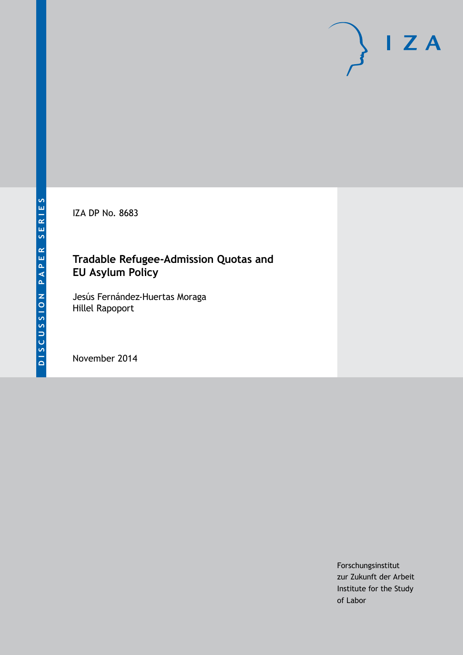IZA DP No. 8683

### **Tradable Refugee-Admission Quotas and EU Asylum Policy**

Jesús Fernández-Huertas Moraga Hillel Rapoport

November 2014

Forschungsinstitut zur Zukunft der Arbeit Institute for the Study of Labor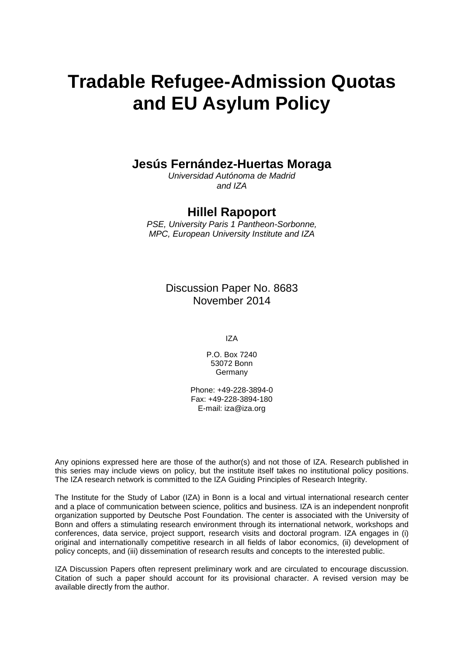# **Tradable Refugee-Admission Quotas and EU Asylum Policy**

# **Jesús Fernández-Huertas Moraga**

*Universidad Autónoma de Madrid and IZA*

#### **Hillel Rapoport**

*PSE, University Paris 1 Pantheon-Sorbonne, MPC, European University Institute and IZA*

> Discussion Paper No. 8683 November 2014

> > IZA

P.O. Box 7240 53072 Bonn Germany

Phone: +49-228-3894-0 Fax: +49-228-3894-180 E-mail: [iza@iza.org](mailto:iza@iza.org)

Any opinions expressed here are those of the author(s) and not those of IZA. Research published in this series may include views on policy, but the institute itself takes no institutional policy positions. The IZA research network is committed to the IZA Guiding Principles of Research Integrity.

The Institute for the Study of Labor (IZA) in Bonn is a local and virtual international research center and a place of communication between science, politics and business. IZA is an independent nonprofit organization supported by Deutsche Post Foundation. The center is associated with the University of Bonn and offers a stimulating research environment through its international network, workshops and conferences, data service, project support, research visits and doctoral program. IZA engages in (i) original and internationally competitive research in all fields of labor economics, (ii) development of policy concepts, and (iii) dissemination of research results and concepts to the interested public.

IZA Discussion Papers often represent preliminary work and are circulated to encourage discussion. Citation of such a paper should account for its provisional character. A revised version may be available directly from the author.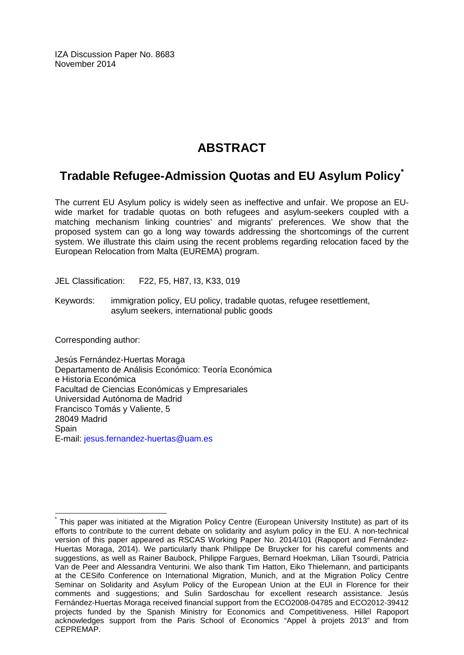IZA Discussion Paper No. 8683 November 2014

# **ABSTRACT**

## **Tradable Refugee-Admission Quotas and EU Asylum Policy[\\*](#page-2-0)**

The current EU Asylum policy is widely seen as ineffective and unfair. We propose an EUwide market for tradable quotas on both refugees and asylum-seekers coupled with a matching mechanism linking countries' and migrants' preferences. We show that the proposed system can go a long way towards addressing the shortcomings of the current system. We illustrate this claim using the recent problems regarding relocation faced by the European Relocation from Malta (EUREMA) program.

JEL Classification: F22, F5, H87, I3, K33, 019

Keywords: immigration policy, EU policy, tradable quotas, refugee resettlement, asylum seekers, international public goods

Corresponding author:

Jesús Fernández-Huertas Moraga Departamento de Análisis Económico: Teoría Económica e Historia Económica Facultad de Ciencias Económicas y Empresariales Universidad Autónoma de Madrid Francisco Tomás y Valiente, 5 28049 Madrid **Spain** E-mail: [jesus.fernandez-huertas@uam.es](mailto:jesus.fernandez-huertas@uam.es)

<span id="page-2-0"></span>This paper was initiated at the Migration Policy Centre (European University Institute) as part of its efforts to contribute to the current debate on solidarity and asylum policy in the EU. A non-technical version of this paper appeared as RSCAS Working Paper No. 2014/101 (Rapoport and Fernández-Huertas Moraga, 2014). We particularly thank Philippe De Bruycker for his careful comments and suggestions, as well as Rainer Baubock, Philippe Fargues, Bernard Hoekman, Lilian Tsourdi, Patricia Van de Peer and Alessandra Venturini. We also thank Tim Hatton, Eiko Thielemann, and participants at the CESifo Conference on International Migration, Munich, and at the Migration Policy Centre Seminar on Solidarity and Asylum Policy of the European Union at the EUI in Florence for their comments and suggestions; and Sulin Sardoschau for excellent research assistance. Jesús Fernández-Huertas Moraga received financial support from the ECO2008-04785 and ECO2012-39412 projects funded by the Spanish Ministry for Economics and Competitiveness. Hillel Rapoport acknowledges support from the Paris School of Economics "Appel à projets 2013" and from CEPREMAP.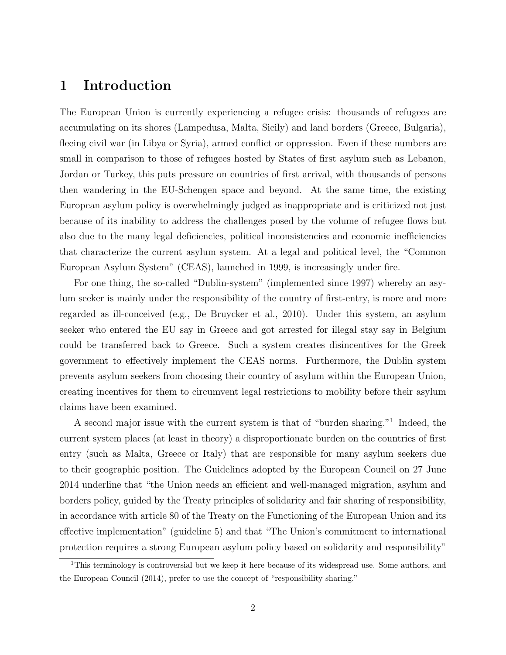#### 1 Introduction

The European Union is currently experiencing a refugee crisis: thousands of refugees are accumulating on its shores (Lampedusa, Malta, Sicily) and land borders (Greece, Bulgaria), fleeing civil war (in Libya or Syria), armed conflict or oppression. Even if these numbers are small in comparison to those of refugees hosted by States of first asylum such as Lebanon, Jordan or Turkey, this puts pressure on countries of first arrival, with thousands of persons then wandering in the EU-Schengen space and beyond. At the same time, the existing European asylum policy is overwhelmingly judged as inappropriate and is criticized not just because of its inability to address the challenges posed by the volume of refugee flows but also due to the many legal deficiencies, political inconsistencies and economic inefficiencies that characterize the current asylum system. At a legal and political level, the "Common European Asylum System" (CEAS), launched in 1999, is increasingly under fire.

For one thing, the so-called "Dublin-system" (implemented since 1997) whereby an asylum seeker is mainly under the responsibility of the country of first-entry, is more and more regarded as ill-conceived (e.g., De Bruycker et al., 2010). Under this system, an asylum seeker who entered the EU say in Greece and got arrested for illegal stay say in Belgium could be transferred back to Greece. Such a system creates disincentives for the Greek government to effectively implement the CEAS norms. Furthermore, the Dublin system prevents asylum seekers from choosing their country of asylum within the European Union, creating incentives for them to circumvent legal restrictions to mobility before their asylum claims have been examined.

A second major issue with the current system is that of "burden sharing."<sup>1</sup> Indeed, the current system places (at least in theory) a disproportionate burden on the countries of first entry (such as Malta, Greece or Italy) that are responsible for many asylum seekers due to their geographic position. The Guidelines adopted by the European Council on 27 June 2014 underline that "the Union needs an efficient and well-managed migration, asylum and borders policy, guided by the Treaty principles of solidarity and fair sharing of responsibility, in accordance with article 80 of the Treaty on the Functioning of the European Union and its effective implementation" (guideline 5) and that "The Union's commitment to international protection requires a strong European asylum policy based on solidarity and responsibility"

<sup>&</sup>lt;sup>1</sup>This terminology is controversial but we keep it here because of its widespread use. Some authors, and the European Council (2014), prefer to use the concept of "responsibility sharing."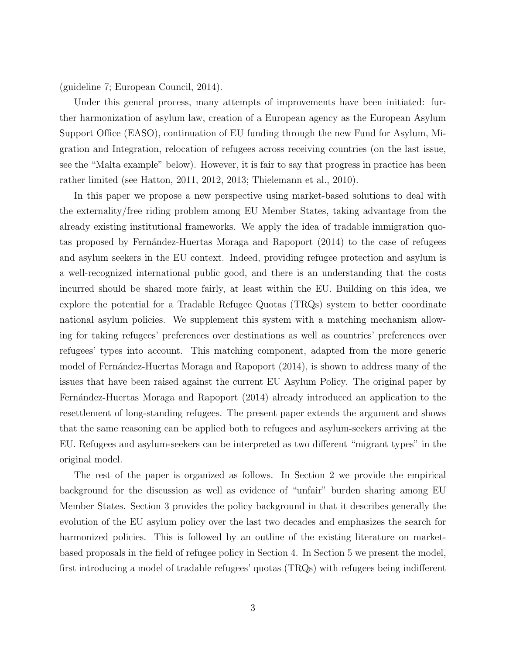(guideline 7; European Council, 2014).

Under this general process, many attempts of improvements have been initiated: further harmonization of asylum law, creation of a European agency as the European Asylum Support Office (EASO), continuation of EU funding through the new Fund for Asylum, Migration and Integration, relocation of refugees across receiving countries (on the last issue, see the "Malta example" below). However, it is fair to say that progress in practice has been rather limited (see Hatton, 2011, 2012, 2013; Thielemann et al., 2010).

In this paper we propose a new perspective using market-based solutions to deal with the externality/free riding problem among EU Member States, taking advantage from the already existing institutional frameworks. We apply the idea of tradable immigration quotas proposed by Fernández-Huertas Moraga and Rapoport (2014) to the case of refugees and asylum seekers in the EU context. Indeed, providing refugee protection and asylum is a well-recognized international public good, and there is an understanding that the costs incurred should be shared more fairly, at least within the EU. Building on this idea, we explore the potential for a Tradable Refugee Quotas (TRQs) system to better coordinate national asylum policies. We supplement this system with a matching mechanism allowing for taking refugees' preferences over destinations as well as countries' preferences over refugees' types into account. This matching component, adapted from the more generic model of Fernández-Huertas Moraga and Rapoport (2014), is shown to address many of the issues that have been raised against the current EU Asylum Policy. The original paper by Fernández-Huertas Moraga and Rapoport (2014) already introduced an application to the resettlement of long-standing refugees. The present paper extends the argument and shows that the same reasoning can be applied both to refugees and asylum-seekers arriving at the EU. Refugees and asylum-seekers can be interpreted as two different "migrant types" in the original model.

The rest of the paper is organized as follows. In Section 2 we provide the empirical background for the discussion as well as evidence of "unfair" burden sharing among EU Member States. Section 3 provides the policy background in that it describes generally the evolution of the EU asylum policy over the last two decades and emphasizes the search for harmonized policies. This is followed by an outline of the existing literature on marketbased proposals in the field of refugee policy in Section 4. In Section 5 we present the model, first introducing a model of tradable refugees' quotas (TRQs) with refugees being indifferent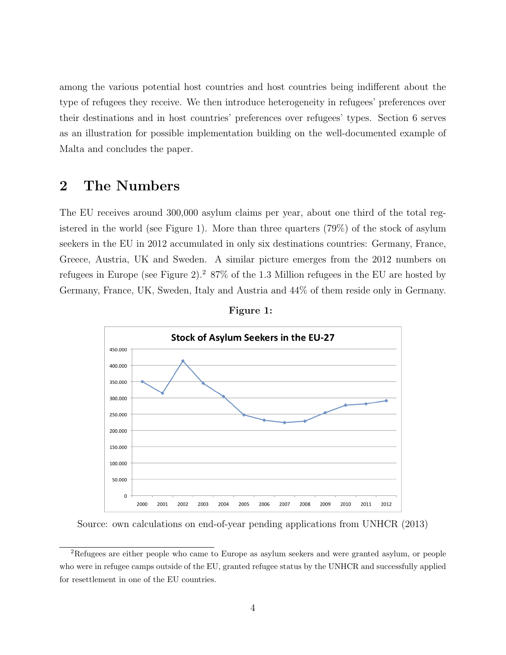among the various potential host countries and host countries being indifferent about the type of refugees they receive. We then introduce heterogeneity in refugees' preferences over their destinations and in host countries' preferences over refugees' types. Section 6 serves as an illustration for possible implementation building on the well-documented example of Malta and concludes the paper.

#### 2 The Numbers

The EU receives around 300,000 asylum claims per year, about one third of the total registered in the world (see Figure 1). More than three quarters (79%) of the stock of asylum seekers in the EU in 2012 accumulated in only six destinations countries: Germany, France, Greece, Austria, UK and Sweden. A similar picture emerges from the 2012 numbers on refugees in Europe (see Figure 2).<sup>2</sup> 87% of the 1.3 Million refugees in the EU are hosted by Germany, France, UK, Sweden, Italy and Austria and 44% of them reside only in Germany.





Source: own calculations on end-of-year pending applications from UNHCR (2013)

<sup>2</sup>Refugees are either people who came to Europe as asylum seekers and were granted asylum, or people who were in refugee camps outside of the EU, granted refugee status by the UNHCR and successfully applied for resettlement in one of the EU countries.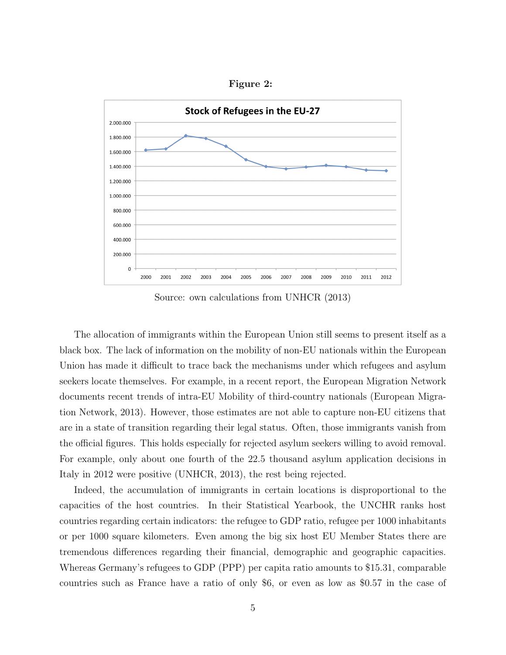Figure 2:



Source: own calculations from UNHCR (2013)

The allocation of immigrants within the European Union still seems to present itself as a black box. The lack of information on the mobility of non-EU nationals within the European Union has made it difficult to trace back the mechanisms under which refugees and asylum seekers locate themselves. For example, in a recent report, the European Migration Network documents recent trends of intra-EU Mobility of third-country nationals (European Migration Network, 2013). However, those estimates are not able to capture non-EU citizens that are in a state of transition regarding their legal status. Often, those immigrants vanish from the official figures. This holds especially for rejected asylum seekers willing to avoid removal. For example, only about one fourth of the 22.5 thousand asylum application decisions in Italy in 2012 were positive (UNHCR, 2013), the rest being rejected.

Indeed, the accumulation of immigrants in certain locations is disproportional to the capacities of the host countries. In their Statistical Yearbook, the UNCHR ranks host countries regarding certain indicators: the refugee to GDP ratio, refugee per 1000 inhabitants or per 1000 square kilometers. Even among the big six host EU Member States there are tremendous differences regarding their financial, demographic and geographic capacities. Whereas Germany's refugees to GDP (PPP) per capita ratio amounts to \$15.31, comparable countries such as France have a ratio of only \$6, or even as low as \$0.57 in the case of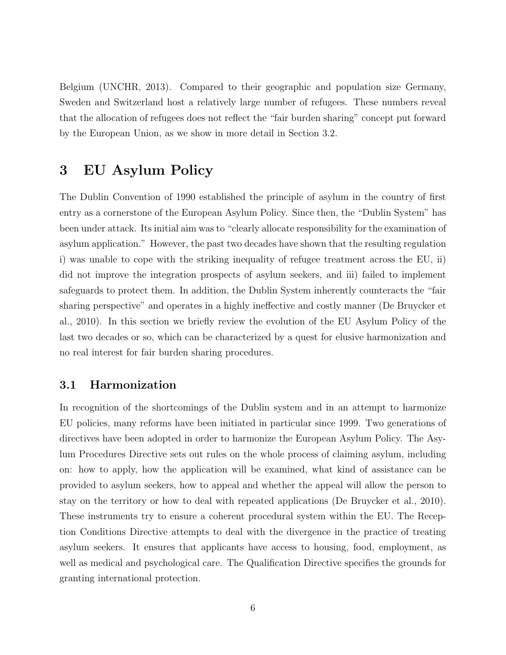Belgium (UNCHR, 2013). Compared to their geographic and population size Germany, Sweden and Switzerland host a relatively large number of refugees. These numbers reveal that the allocation of refugees does not reflect the "fair burden sharing" concept put forward by the European Union, as we show in more detail in Section 3.2.

### 3 EU Asylum Policy

The Dublin Convention of 1990 established the principle of asylum in the country of first entry as a cornerstone of the European Asylum Policy. Since then, the "Dublin System" has been under attack. Its initial aim was to "clearly allocate responsibility for the examination of asylum application." However, the past two decades have shown that the resulting regulation i) was unable to cope with the striking inequality of refugee treatment across the EU, ii) did not improve the integration prospects of asylum seekers, and iii) failed to implement safeguards to protect them. In addition, the Dublin System inherently counteracts the "fair sharing perspective" and operates in a highly ineffective and costly manner (De Bruycker et al., 2010). In this section we briefly review the evolution of the EU Asylum Policy of the last two decades or so, which can be characterized by a quest for elusive harmonization and no real interest for fair burden sharing procedures.

#### 3.1 Harmonization

In recognition of the shortcomings of the Dublin system and in an attempt to harmonize EU policies, many reforms have been initiated in particular since 1999. Two generations of directives have been adopted in order to harmonize the European Asylum Policy. The Asylum Procedures Directive sets out rules on the whole process of claiming asylum, including on: how to apply, how the application will be examined, what kind of assistance can be provided to asylum seekers, how to appeal and whether the appeal will allow the person to stay on the territory or how to deal with repeated applications (De Bruycker et al., 2010). These instruments try to ensure a coherent procedural system within the EU. The Reception Conditions Directive attempts to deal with the divergence in the practice of treating asylum seekers. It ensures that applicants have access to housing, food, employment, as well as medical and psychological care. The Qualification Directive specifies the grounds for granting international protection.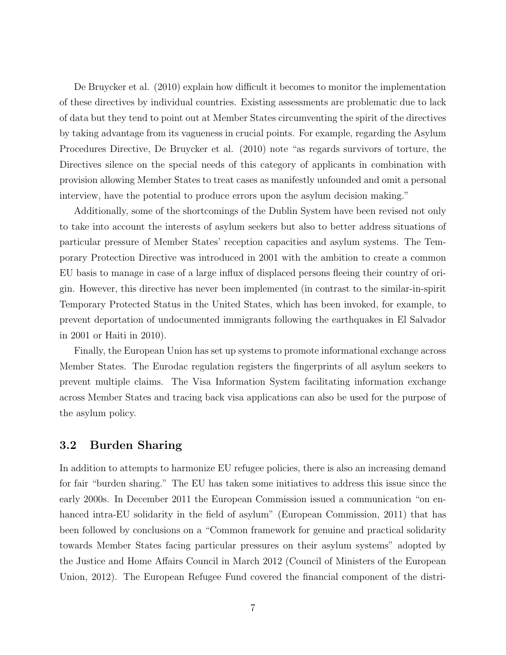De Bruycker et al. (2010) explain how difficult it becomes to monitor the implementation of these directives by individual countries. Existing assessments are problematic due to lack of data but they tend to point out at Member States circumventing the spirit of the directives by taking advantage from its vagueness in crucial points. For example, regarding the Asylum Procedures Directive, De Bruycker et al. (2010) note "as regards survivors of torture, the Directives silence on the special needs of this category of applicants in combination with provision allowing Member States to treat cases as manifestly unfounded and omit a personal interview, have the potential to produce errors upon the asylum decision making."

Additionally, some of the shortcomings of the Dublin System have been revised not only to take into account the interests of asylum seekers but also to better address situations of particular pressure of Member States' reception capacities and asylum systems. The Temporary Protection Directive was introduced in 2001 with the ambition to create a common EU basis to manage in case of a large influx of displaced persons fleeing their country of origin. However, this directive has never been implemented (in contrast to the similar-in-spirit Temporary Protected Status in the United States, which has been invoked, for example, to prevent deportation of undocumented immigrants following the earthquakes in El Salvador in 2001 or Haiti in 2010).

Finally, the European Union has set up systems to promote informational exchange across Member States. The Eurodac regulation registers the fingerprints of all asylum seekers to prevent multiple claims. The Visa Information System facilitating information exchange across Member States and tracing back visa applications can also be used for the purpose of the asylum policy.

#### 3.2 Burden Sharing

In addition to attempts to harmonize EU refugee policies, there is also an increasing demand for fair "burden sharing." The EU has taken some initiatives to address this issue since the early 2000s. In December 2011 the European Commission issued a communication "on enhanced intra-EU solidarity in the field of asylum" (European Commission, 2011) that has been followed by conclusions on a "Common framework for genuine and practical solidarity towards Member States facing particular pressures on their asylum systems" adopted by the Justice and Home Affairs Council in March 2012 (Council of Ministers of the European Union, 2012). The European Refugee Fund covered the financial component of the distri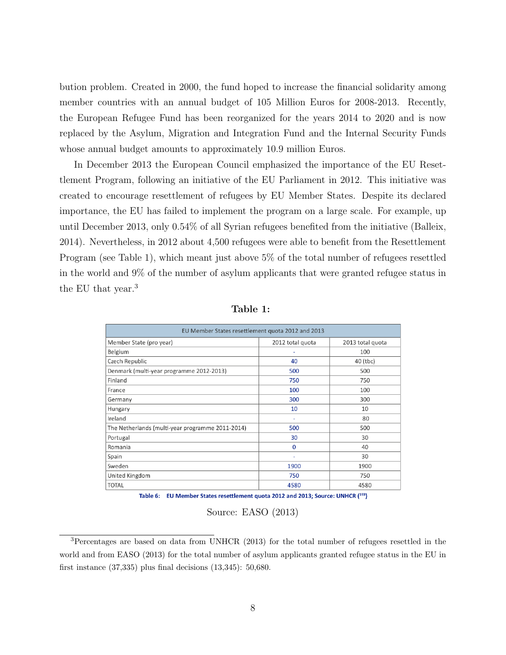bution problem. Created in 2000, the fund hoped to increase the financial solidarity among member countries with an annual budget of 105 Million Euros for 2008-2013. Recently, the European Refugee Fund has been reorganized for the years 2014 to 2020 and is now replaced by the Asylum, Migration and Integration Fund and the Internal Security Funds whose annual budget amounts to approximately 10.9 million Euros.

In December 2013 the European Council emphasized the importance of the EU Resettlement Program, following an initiative of the EU Parliament in 2012. This initiative was created to encourage resettlement of refugees by EU Member States. Despite its declared importance, the EU has failed to implement the program on a large scale. For example, up until December 2013, only 0.54% of all Syrian refugees benefited from the initiative (Balleix, 2014). Nevertheless, in 2012 about 4,500 refugees were able to benefit from the Resettlement Program (see Table 1), which meant just above 5% of the total number of refugees resettled in the world and 9% of the number of asylum applicants that were granted refugee status in the EU that year.<sup>3</sup>

| EU Member States resettlement quota 2012 and 2013 |                          |                  |  |  |  |
|---------------------------------------------------|--------------------------|------------------|--|--|--|
| Member State (pro year)                           | 2012 total quota         | 2013 total quota |  |  |  |
| Belgium                                           |                          | 100              |  |  |  |
| Czech Republic                                    | 40                       | 40 (tbc)         |  |  |  |
| Denmark (multi-year programme 2012-2013)          | 500                      | 500              |  |  |  |
| Finland                                           | 750                      | 750              |  |  |  |
| France                                            | 100                      | 100              |  |  |  |
| Germany                                           | 300                      | 300              |  |  |  |
| Hungary                                           | 10                       | 10               |  |  |  |
| Ireland                                           | $\overline{\phantom{a}}$ | 80               |  |  |  |
| The Netherlands (multi-year programme 2011-2014)  | 500                      | 500              |  |  |  |
| Portugal                                          | 30                       | 30               |  |  |  |
| Romania                                           | 0                        | 40               |  |  |  |
| Spain                                             | $\overline{\phantom{a}}$ | 30               |  |  |  |
| Sweden                                            | 1900                     | 1900             |  |  |  |
| United Kingdom                                    | 750                      | 750              |  |  |  |
| <b>TOTAL</b>                                      | 4580                     | 4580             |  |  |  |

Table 1:

Table 6: EU Member States resettlement quota 2012 and 2013; Source: UNHCR (193)

Source: EASO (2013)

<sup>3</sup>Percentages are based on data from UNHCR (2013) for the total number of refugees resettled in the world and from EASO (2013) for the total number of asylum applicants granted refugee status in the EU in first instance (37,335) plus final decisions (13,345): 50,680.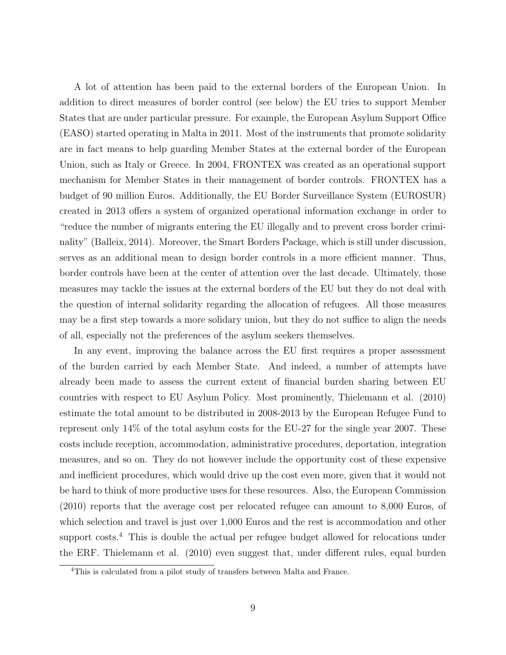A lot of attention has been paid to the external borders of the European Union. In addition to direct measures of border control (see below) the EU tries to support Member States that are under particular pressure. For example, the European Asylum Support Office (EASO) started operating in Malta in 2011. Most of the instruments that promote solidarity are in fact means to help guarding Member States at the external border of the European Union, such as Italy or Greece. In 2004, FRONTEX was created as an operational support mechanism for Member States in their management of border controls. FRONTEX has a budget of 90 million Euros. Additionally, the EU Border Surveillance System (EUROSUR) created in 2013 offers a system of organized operational information exchange in order to "reduce the number of migrants entering the EU illegally and to prevent cross border criminality" (Balleix, 2014). Moreover, the Smart Borders Package, which is still under discussion, serves as an additional mean to design border controls in a more efficient manner. Thus, border controls have been at the center of attention over the last decade. Ultimately, those measures may tackle the issues at the external borders of the EU but they do not deal with the question of internal solidarity regarding the allocation of refugees. All those measures may be a first step towards a more solidary union, but they do not suffice to align the needs of all, especially not the preferences of the asylum seekers themselves.

In any event, improving the balance across the EU first requires a proper assessment of the burden carried by each Member State. And indeed, a number of attempts have already been made to assess the current extent of financial burden sharing between EU countries with respect to EU Asylum Policy. Most prominently, Thielemann et al. (2010) estimate the total amount to be distributed in 2008-2013 by the European Refugee Fund to represent only 14% of the total asylum costs for the EU-27 for the single year 2007. These costs include reception, accommodation, administrative procedures, deportation, integration measures, and so on. They do not however include the opportunity cost of these expensive and inefficient procedures, which would drive up the cost even more, given that it would not be hard to think of more productive uses for these resources. Also, the European Commission (2010) reports that the average cost per relocated refugee can amount to 8,000 Euros, of which selection and travel is just over 1,000 Euros and the rest is accommodation and other support costs.<sup>4</sup> This is double the actual per refugee budget allowed for relocations under the ERF. Thielemann et al. (2010) even suggest that, under different rules, equal burden

<sup>4</sup>This is calculated from a pilot study of transfers between Malta and France.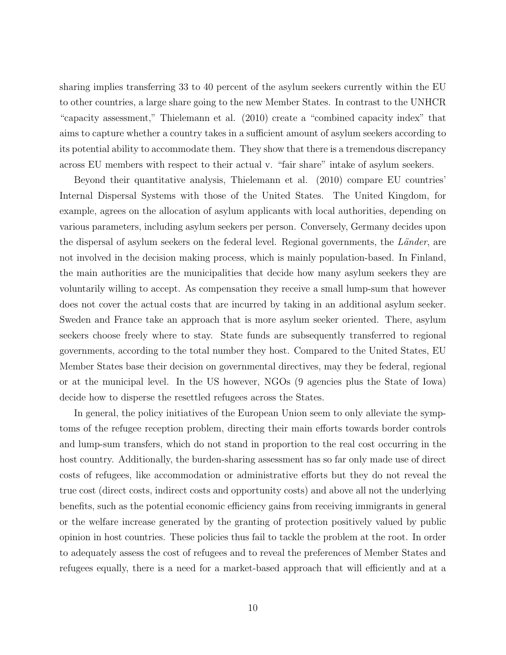sharing implies transferring 33 to 40 percent of the asylum seekers currently within the EU to other countries, a large share going to the new Member States. In contrast to the UNHCR "capacity assessment," Thielemann et al. (2010) create a "combined capacity index" that aims to capture whether a country takes in a sufficient amount of asylum seekers according to its potential ability to accommodate them. They show that there is a tremendous discrepancy across EU members with respect to their actual v. "fair share" intake of asylum seekers.

Beyond their quantitative analysis, Thielemann et al. (2010) compare EU countries' Internal Dispersal Systems with those of the United States. The United Kingdom, for example, agrees on the allocation of asylum applicants with local authorities, depending on various parameters, including asylum seekers per person. Conversely, Germany decides upon the dispersal of asylum seekers on the federal level. Regional governments, the  $Länder$ , are not involved in the decision making process, which is mainly population-based. In Finland, the main authorities are the municipalities that decide how many asylum seekers they are voluntarily willing to accept. As compensation they receive a small lump-sum that however does not cover the actual costs that are incurred by taking in an additional asylum seeker. Sweden and France take an approach that is more asylum seeker oriented. There, asylum seekers choose freely where to stay. State funds are subsequently transferred to regional governments, according to the total number they host. Compared to the United States, EU Member States base their decision on governmental directives, may they be federal, regional or at the municipal level. In the US however, NGOs (9 agencies plus the State of Iowa) decide how to disperse the resettled refugees across the States.

In general, the policy initiatives of the European Union seem to only alleviate the symptoms of the refugee reception problem, directing their main efforts towards border controls and lump-sum transfers, which do not stand in proportion to the real cost occurring in the host country. Additionally, the burden-sharing assessment has so far only made use of direct costs of refugees, like accommodation or administrative efforts but they do not reveal the true cost (direct costs, indirect costs and opportunity costs) and above all not the underlying benefits, such as the potential economic efficiency gains from receiving immigrants in general or the welfare increase generated by the granting of protection positively valued by public opinion in host countries. These policies thus fail to tackle the problem at the root. In order to adequately assess the cost of refugees and to reveal the preferences of Member States and refugees equally, there is a need for a market-based approach that will efficiently and at a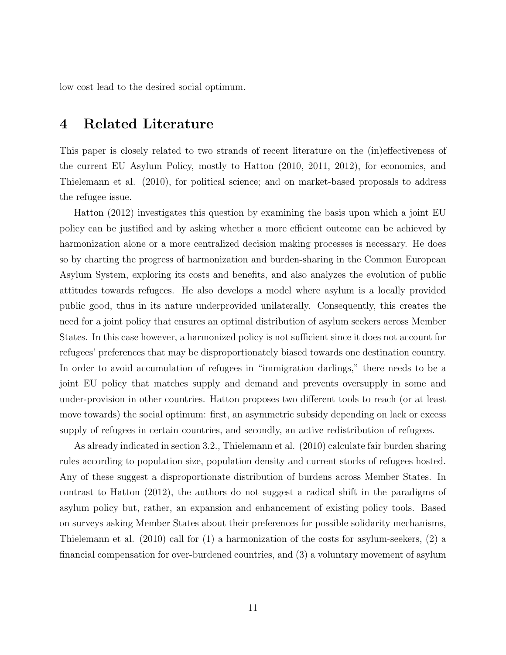low cost lead to the desired social optimum.

### 4 Related Literature

This paper is closely related to two strands of recent literature on the (in)effectiveness of the current EU Asylum Policy, mostly to Hatton (2010, 2011, 2012), for economics, and Thielemann et al. (2010), for political science; and on market-based proposals to address the refugee issue.

Hatton (2012) investigates this question by examining the basis upon which a joint EU policy can be justified and by asking whether a more efficient outcome can be achieved by harmonization alone or a more centralized decision making processes is necessary. He does so by charting the progress of harmonization and burden-sharing in the Common European Asylum System, exploring its costs and benefits, and also analyzes the evolution of public attitudes towards refugees. He also develops a model where asylum is a locally provided public good, thus in its nature underprovided unilaterally. Consequently, this creates the need for a joint policy that ensures an optimal distribution of asylum seekers across Member States. In this case however, a harmonized policy is not sufficient since it does not account for refugees' preferences that may be disproportionately biased towards one destination country. In order to avoid accumulation of refugees in "immigration darlings," there needs to be a joint EU policy that matches supply and demand and prevents oversupply in some and under-provision in other countries. Hatton proposes two different tools to reach (or at least move towards) the social optimum: first, an asymmetric subsidy depending on lack or excess supply of refugees in certain countries, and secondly, an active redistribution of refugees.

As already indicated in section 3.2., Thielemann et al. (2010) calculate fair burden sharing rules according to population size, population density and current stocks of refugees hosted. Any of these suggest a disproportionate distribution of burdens across Member States. In contrast to Hatton (2012), the authors do not suggest a radical shift in the paradigms of asylum policy but, rather, an expansion and enhancement of existing policy tools. Based on surveys asking Member States about their preferences for possible solidarity mechanisms, Thielemann et al. (2010) call for (1) a harmonization of the costs for asylum-seekers, (2) a financial compensation for over-burdened countries, and (3) a voluntary movement of asylum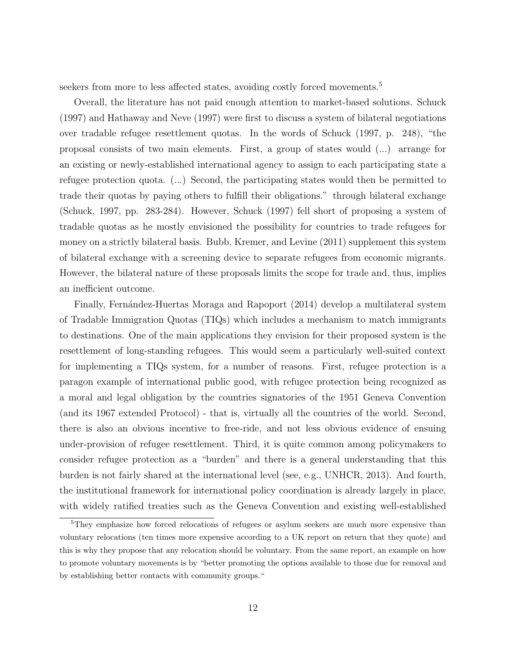seekers from more to less affected states, avoiding costly forced movements.<sup>5</sup>

Overall, the literature has not paid enough attention to market-based solutions. Schuck (1997) and Hathaway and Neve (1997) were first to discuss a system of bilateral negotiations over tradable refugee resettlement quotas. In the words of Schuck (1997, p. 248), "the proposal consists of two main elements. First, a group of states would (...) arrange for an existing or newly-established international agency to assign to each participating state a refugee protection quota. (...) Second, the participating states would then be permitted to trade their quotas by paying others to fulfill their obligations." through bilateral exchange (Schuck, 1997, pp. 283-284). However, Schuck (1997) fell short of proposing a system of tradable quotas as he mostly envisioned the possibility for countries to trade refugees for money on a strictly bilateral basis. Bubb, Kremer, and Levine (2011) supplement this system of bilateral exchange with a screening device to separate refugees from economic migrants. However, the bilateral nature of these proposals limits the scope for trade and, thus, implies an inefficient outcome.

Finally, Fern´andez-Huertas Moraga and Rapoport (2014) develop a multilateral system of Tradable Immigration Quotas (TIQs) which includes a mechanism to match immigrants to destinations. One of the main applications they envision for their proposed system is the resettlement of long-standing refugees. This would seem a particularly well-suited context for implementing a TIQs system, for a number of reasons. First, refugee protection is a paragon example of international public good, with refugee protection being recognized as a moral and legal obligation by the countries signatories of the 1951 Geneva Convention (and its 1967 extended Protocol) - that is, virtually all the countries of the world. Second, there is also an obvious incentive to free-ride, and not less obvious evidence of ensuing under-provision of refugee resettlement. Third, it is quite common among policymakers to consider refugee protection as a "burden" and there is a general understanding that this burden is not fairly shared at the international level (see, e.g., UNHCR, 2013). And fourth, the institutional framework for international policy coordination is already largely in place, with widely ratified treaties such as the Geneva Convention and existing well-established

<sup>&</sup>lt;sup>5</sup>They emphasize how forced relocations of refugees or asylum seekers are much more expensive than voluntary relocations (ten times more expensive according to a UK report on return that they quote) and this is why they propose that any relocation should be voluntary. From the same report, an example on how to promote voluntary movements is by "better promoting the options available to those due for removal and by establishing better contacts with community groups."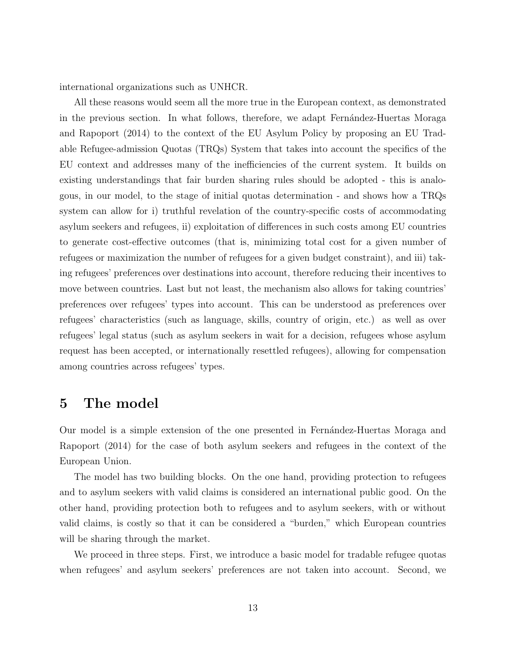international organizations such as UNHCR.

All these reasons would seem all the more true in the European context, as demonstrated in the previous section. In what follows, therefore, we adapt Fernandez-Huertas Moraga and Rapoport (2014) to the context of the EU Asylum Policy by proposing an EU Tradable Refugee-admission Quotas (TRQs) System that takes into account the specifics of the EU context and addresses many of the inefficiencies of the current system. It builds on existing understandings that fair burden sharing rules should be adopted - this is analogous, in our model, to the stage of initial quotas determination - and shows how a TRQs system can allow for i) truthful revelation of the country-specific costs of accommodating asylum seekers and refugees, ii) exploitation of differences in such costs among EU countries to generate cost-effective outcomes (that is, minimizing total cost for a given number of refugees or maximization the number of refugees for a given budget constraint), and iii) taking refugees' preferences over destinations into account, therefore reducing their incentives to move between countries. Last but not least, the mechanism also allows for taking countries' preferences over refugees' types into account. This can be understood as preferences over refugees' characteristics (such as language, skills, country of origin, etc.) as well as over refugees' legal status (such as asylum seekers in wait for a decision, refugees whose asylum request has been accepted, or internationally resettled refugees), allowing for compensation among countries across refugees' types.

#### 5 The model

Our model is a simple extension of the one presented in Fernandez-Huertas Moraga and Rapoport (2014) for the case of both asylum seekers and refugees in the context of the European Union.

The model has two building blocks. On the one hand, providing protection to refugees and to asylum seekers with valid claims is considered an international public good. On the other hand, providing protection both to refugees and to asylum seekers, with or without valid claims, is costly so that it can be considered a "burden," which European countries will be sharing through the market.

We proceed in three steps. First, we introduce a basic model for tradable refugee quotas when refugees' and asylum seekers' preferences are not taken into account. Second, we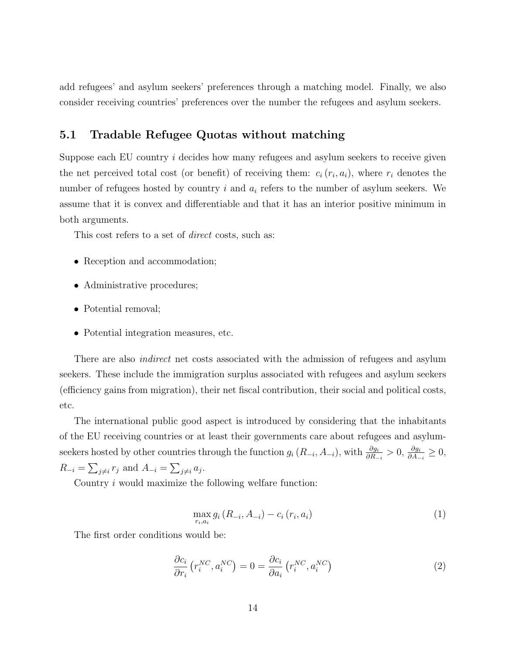add refugees' and asylum seekers' preferences through a matching model. Finally, we also consider receiving countries' preferences over the number the refugees and asylum seekers.

#### 5.1 Tradable Refugee Quotas without matching

Suppose each EU country i decides how many refugees and asylum seekers to receive given the net perceived total cost (or benefit) of receiving them:  $c_i(r_i, a_i)$ , where  $r_i$  denotes the number of refugees hosted by country  $i$  and  $a_i$  refers to the number of asylum seekers. We assume that it is convex and differentiable and that it has an interior positive minimum in both arguments.

This cost refers to a set of *direct* costs, such as:

- Reception and accommodation;
- Administrative procedures;
- Potential removal;
- Potential integration measures, etc.

There are also *indirect* net costs associated with the admission of refugees and asylum seekers. These include the immigration surplus associated with refugees and asylum seekers (efficiency gains from migration), their net fiscal contribution, their social and political costs, etc.

The international public good aspect is introduced by considering that the inhabitants of the EU receiving countries or at least their governments care about refugees and asylumseekers hosted by other countries through the function  $g_i(R_{-i}, A_{-i})$ , with  $\frac{\partial g_i}{\partial R_{-i}} > 0$ ,  $\frac{\partial g_i}{\partial A_{-i}} \ge 0$ ,  $R_{-i} = \sum_{j \neq i} r_j$  and  $A_{-i} = \sum_{j \neq i} a_j$ .

Country  $i$  would maximize the following welfare function:

$$
\max_{r_i, a_i} g_i (R_{-i}, A_{-i}) - c_i (r_i, a_i)
$$
\n(1)

The first order conditions would be:

$$
\frac{\partial c_i}{\partial r_i} \left( r_i^{NC}, a_i^{NC} \right) = 0 = \frac{\partial c_i}{\partial a_i} \left( r_i^{NC}, a_i^{NC} \right) \tag{2}
$$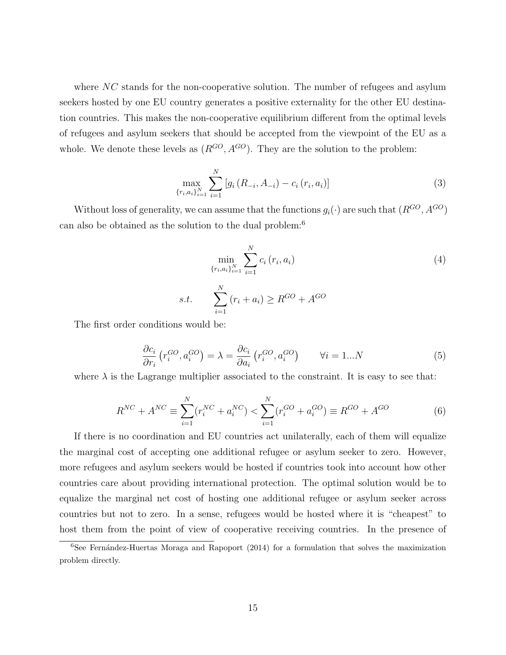where  $NC$  stands for the non-cooperative solution. The number of refugees and asylum seekers hosted by one EU country generates a positive externality for the other EU destination countries. This makes the non-cooperative equilibrium different from the optimal levels of refugees and asylum seekers that should be accepted from the viewpoint of the EU as a whole. We denote these levels as  $(R^{GO}, A^{GO})$ . They are the solution to the problem:

$$
\max_{\{r_i, a_i\}_{i=1}^N} \sum_{i=1}^N \left[ g_i\left(R_{-i}, A_{-i}\right) - c_i\left(r_i, a_i\right) \right] \tag{3}
$$

Without loss of generality, we can assume that the functions  $g_i(\cdot)$  are such that  $(R^{GO}, A^{GO})$ can also be obtained as the solution to the dual problem:<sup>6</sup>

$$
\min_{\{r_i, a_i\}_{i=1}^N} \sum_{i=1}^N c_i (r_i, a_i)
$$
\ns.t. 
$$
\sum_{i=1}^N (r_i + a_i) \ge R^{GO} + A^{GO}
$$
\ns would be:

The first order conditions would be:

$$
\frac{\partial c_i}{\partial r_i} \left( r_i^{GO}, a_i^{GO} \right) = \lambda = \frac{\partial c_i}{\partial a_i} \left( r_i^{GO}, a_i^{GO} \right) \qquad \forall i = 1...N \tag{5}
$$

where  $\lambda$  is the Lagrange multiplier associated to the constraint. It is easy to see that:

$$
R^{NC} + A^{NC} \equiv \sum_{i=1}^{N} (r_i^{NC} + a_i^{NC}) < \sum_{i=1}^{N} (r_i^{GO} + a_i^{GO}) \equiv R^{GO} + A^{GO} \tag{6}
$$

If there is no coordination and EU countries act unilaterally, each of them will equalize the marginal cost of accepting one additional refugee or asylum seeker to zero. However, more refugees and asylum seekers would be hosted if countries took into account how other countries care about providing international protection. The optimal solution would be to equalize the marginal net cost of hosting one additional refugee or asylum seeker across countries but not to zero. In a sense, refugees would be hosted where it is "cheapest" to host them from the point of view of cooperative receiving countries. In the presence of

 $6$ See Fernández-Huertas Moraga and Rapoport (2014) for a formulation that solves the maximization problem directly.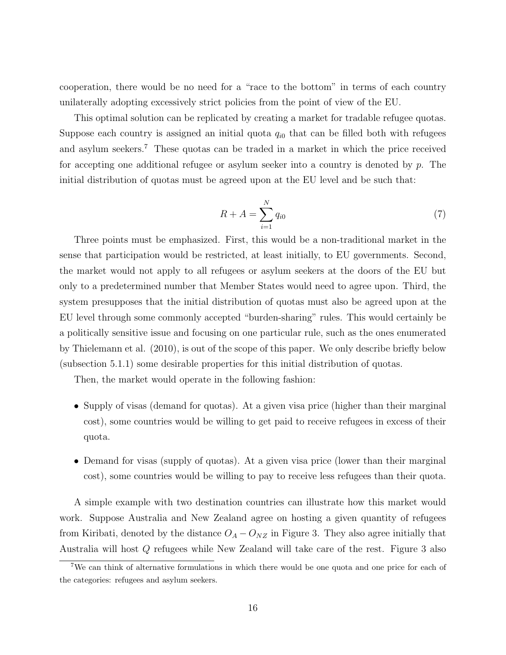cooperation, there would be no need for a "race to the bottom" in terms of each country unilaterally adopting excessively strict policies from the point of view of the EU.

This optimal solution can be replicated by creating a market for tradable refugee quotas. Suppose each country is assigned an initial quota  $q_{i0}$  that can be filled both with refugees and asylum seekers.<sup>7</sup> These quotas can be traded in a market in which the price received for accepting one additional refugee or asylum seeker into a country is denoted by p. The initial distribution of quotas must be agreed upon at the EU level and be such that:

$$
R + A = \sum_{i=1}^{N} q_{i0} \tag{7}
$$

Three points must be emphasized. First, this would be a non-traditional market in the sense that participation would be restricted, at least initially, to EU governments. Second, the market would not apply to all refugees or asylum seekers at the doors of the EU but only to a predetermined number that Member States would need to agree upon. Third, the system presupposes that the initial distribution of quotas must also be agreed upon at the EU level through some commonly accepted "burden-sharing" rules. This would certainly be a politically sensitive issue and focusing on one particular rule, such as the ones enumerated by Thielemann et al. (2010), is out of the scope of this paper. We only describe briefly below (subsection 5.1.1) some desirable properties for this initial distribution of quotas.

Then, the market would operate in the following fashion:

- Supply of visas (demand for quotas). At a given visa price (higher than their marginal cost), some countries would be willing to get paid to receive refugees in excess of their quota.
- Demand for visas (supply of quotas). At a given visa price (lower than their marginal cost), some countries would be willing to pay to receive less refugees than their quota.

A simple example with two destination countries can illustrate how this market would work. Suppose Australia and New Zealand agree on hosting a given quantity of refugees from Kiribati, denoted by the distance  $O_A - O_{NZ}$  in Figure 3. They also agree initially that Australia will host Q refugees while New Zealand will take care of the rest. Figure 3 also

<sup>7</sup>We can think of alternative formulations in which there would be one quota and one price for each of the categories: refugees and asylum seekers.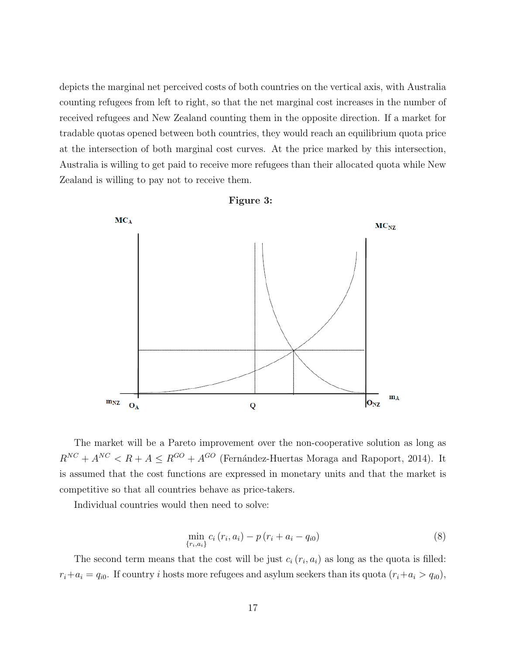depicts the marginal net perceived costs of both countries on the vertical axis, with Australia counting refugees from left to right, so that the net marginal cost increases in the number of received refugees and New Zealand counting them in the opposite direction. If a market for tradable quotas opened between both countries, they would reach an equilibrium quota price at the intersection of both marginal cost curves. At the price marked by this intersection, Australia is willing to get paid to receive more refugees than their allocated quota while New Zealand is willing to pay not to receive them.





The market will be a Pareto improvement over the non-cooperative solution as long as  $R^{NC} + A^{NC} < R + A \leq R^{GO} + A^{GO}$  (Fernández-Huertas Moraga and Rapoport, 2014). It is assumed that the cost functions are expressed in monetary units and that the market is competitive so that all countries behave as price-takers.

Individual countries would then need to solve:

$$
\min_{\{r_i, a_i\}} c_i (r_i, a_i) - p (r_i + a_i - q_{i0})
$$
\n(8)

The second term means that the cost will be just  $c_i (r_i, a_i)$  as long as the quota is filled:  $r_i+a_i = q_{i0}$ . If country i hosts more refugees and asylum seekers than its quota  $(r_i+a_i > q_{i0})$ ,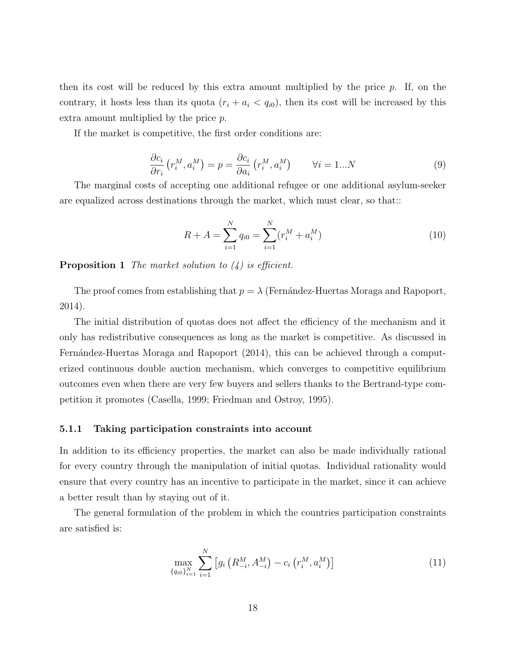then its cost will be reduced by this extra amount multiplied by the price  $p$ . If, on the contrary, it hosts less than its quota  $(r_i + a_i < q_{i0})$ , then its cost will be increased by this extra amount multiplied by the price p.

If the market is competitive, the first order conditions are:

$$
\frac{\partial c_i}{\partial r_i} \left( r_i^M, a_i^M \right) = p = \frac{\partial c_i}{\partial a_i} \left( r_i^M, a_i^M \right) \qquad \forall i = 1...N \tag{9}
$$

The marginal costs of accepting one additional refugee or one additional asylum-seeker are equalized across destinations through the market, which must clear, so that::

$$
R + A = \sum_{i=1}^{N} q_{i0} = \sum_{i=1}^{N} (r_i^M + a_i^M)
$$
\n(10)

**Proposition 1** The market solution to  $(4)$  is efficient.

The proof comes from establishing that  $p = \lambda$  (Fernández-Huertas Moraga and Rapoport, 2014).

The initial distribution of quotas does not affect the efficiency of the mechanism and it only has redistributive consequences as long as the market is competitive. As discussed in Fernández-Huertas Moraga and Rapoport (2014), this can be achieved through a computerized continuous double auction mechanism, which converges to competitive equilibrium outcomes even when there are very few buyers and sellers thanks to the Bertrand-type competition it promotes (Casella, 1999; Friedman and Ostroy, 1995).

#### 5.1.1 Taking participation constraints into account

In addition to its efficiency properties, the market can also be made individually rational for every country through the manipulation of initial quotas. Individual rationality would ensure that every country has an incentive to participate in the market, since it can achieve a better result than by staying out of it.

The general formulation of the problem in which the countries participation constraints are satisfied is:

$$
\max_{\{q_{i0}\}_{i=1}^N} \sum_{i=1}^N \left[ g_i \left( R_{-i}^M, A_{-i}^M \right) - c_i \left( r_i^M, a_i^M \right) \right] \tag{11}
$$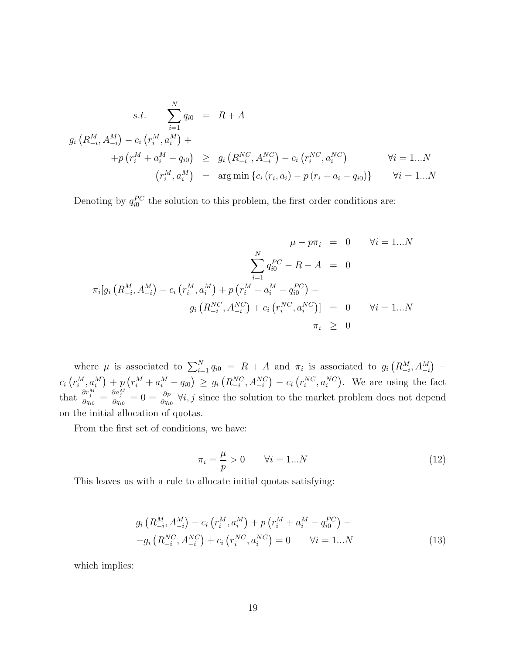$$
s.t. \sum_{i=1}^{N} q_{i0} = R + A
$$
  
\n
$$
g_i (R_{-i}^M, A_{-i}^M) - c_i (r_i^M, a_i^M) +
$$
  
\n
$$
+ p (r_i^M + a_i^M - q_{i0}) \ge g_i (R_{-i}^{NC}, A_{-i}^{NC}) - c_i (r_i^{NC}, a_i^{NC}) \qquad \forall i = 1...N
$$
  
\n
$$
(r_i^M, a_i^M) = \arg \min \{c_i (r_i, a_i) - p (r_i + a_i - q_{i0})\} \qquad \forall i = 1...N
$$

Denoting by  $q_{i0}^{PC}$  the solution to this problem, the first order conditions are:

$$
\mu - p\pi_i = 0 \qquad \forall i = 1...N
$$
  

$$
\sum_{i=1}^N q_{i0}^{PC} - R - A = 0
$$
  

$$
\pi_i[g_i(R_{-i}^M, A_{-i}^M) - c_i(r_i^M, a_i^M) + p(r_i^M + a_i^M - q_{i0}^{PC}) -
$$
  

$$
-g_i(R_{-i}^{NC}, A_{-i}^{NC}) + c_i(r_i^{NC}, a_i^{NC})] = 0 \qquad \forall i = 1...N
$$
  

$$
\pi_i \geq 0
$$

where  $\mu$  is associated to  $\sum_{i=1}^{N} q_{i0} = R + A$  and  $\pi_i$  is associated to  $g_i(R_{-i}^M, A_{-i}^M)$  –  $c_i\left(r_i^M, a_i^M\right) + p\left(r_i^M + a_i^M - q_{i0}\right) \geq g_i\left(R_{-i}^{NC}, A_{-i}^{NC}\right) - c_i\left(r_i^{NC}, a_i^{NC}\right)$ . We are using the fact that  $\frac{\partial r_j^M}{\partial q_{i0}} = \frac{\partial a_j^M}{\partial q_{i0}} = 0 = \frac{\partial p}{\partial q_{i0}} \ \forall i, j$  since the solution to the market problem does not depend on the initial allocation of quotas.

From the first set of conditions, we have:

$$
\pi_i = \frac{\mu}{p} > 0 \qquad \forall i = 1...N \tag{12}
$$

This leaves us with a rule to allocate initial quotas satisfying:

$$
g_i\left(R_{-i}^M, A_{-i}^M\right) - c_i\left(r_i^M, a_i^M\right) + p\left(r_i^M + a_i^M - q_{i0}^{PC}\right) --g_i\left(R_{-i}^{NC}, A_{-i}^{NC}\right) + c_i\left(r_i^{NC}, a_i^{NC}\right) = 0 \qquad \forall i = 1...N
$$
\n(13)

which implies: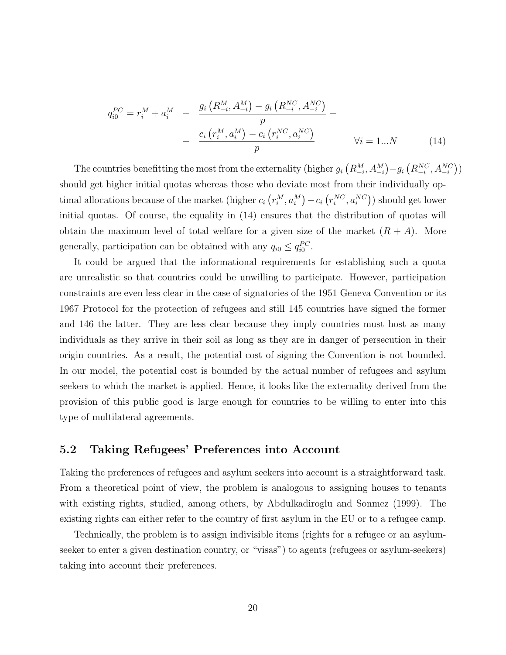$$
q_{i0}^{PC} = r_i^M + a_i^M + \frac{g_i\left(R_{-i}^M, A_{-i}^M\right) - g_i\left(R_{-i}^{NC}, A_{-i}^{NC}\right)}{p} - \frac{c_i\left(r_i^M, a_i^M\right) - c_i\left(r_i^{NC}, a_i^{NC}\right)}{p} \qquad \forall i = 1...N \qquad (14)
$$

The countries benefitting the most from the externality (higher  $g_i(R_{-i}^M, A_{-i}^M) - g_i(R_{-i}^{NC}, A_{-i}^{NC})$ ) should get higher initial quotas whereas those who deviate most from their individually optimal allocations because of the market (higher  $c_i(r_i^M, a_i^M) - c_i(r_i^{NC}, a_i^{NC})$ ) should get lower initial quotas. Of course, the equality in (14) ensures that the distribution of quotas will obtain the maximum level of total welfare for a given size of the market  $(R + A)$ . More generally, participation can be obtained with any  $q_{i0} \leq q_{i0}^{PC}$ .

It could be argued that the informational requirements for establishing such a quota are unrealistic so that countries could be unwilling to participate. However, participation constraints are even less clear in the case of signatories of the 1951 Geneva Convention or its 1967 Protocol for the protection of refugees and still 145 countries have signed the former and 146 the latter. They are less clear because they imply countries must host as many individuals as they arrive in their soil as long as they are in danger of persecution in their origin countries. As a result, the potential cost of signing the Convention is not bounded. In our model, the potential cost is bounded by the actual number of refugees and asylum seekers to which the market is applied. Hence, it looks like the externality derived from the provision of this public good is large enough for countries to be willing to enter into this type of multilateral agreements.

#### 5.2 Taking Refugees' Preferences into Account

Taking the preferences of refugees and asylum seekers into account is a straightforward task. From a theoretical point of view, the problem is analogous to assigning houses to tenants with existing rights, studied, among others, by Abdulkadiroglu and Sonmez (1999). The existing rights can either refer to the country of first asylum in the EU or to a refugee camp.

Technically, the problem is to assign indivisible items (rights for a refugee or an asylumseeker to enter a given destination country, or "visas") to agents (refugees or asylum-seekers) taking into account their preferences.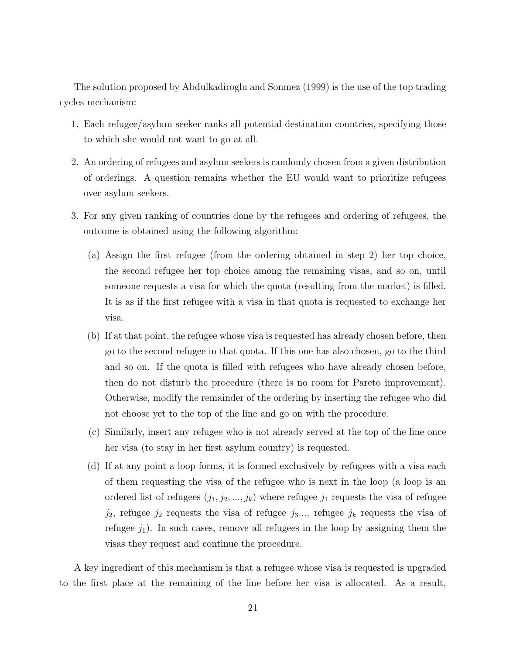The solution proposed by Abdulkadiroglu and Sonmez (1999) is the use of the top trading cycles mechanism:

- 1. Each refugee/asylum seeker ranks all potential destination countries, specifying those to which she would not want to go at all.
- 2. An ordering of refugees and asylum seekers is randomly chosen from a given distribution of orderings. A question remains whether the EU would want to prioritize refugees over asylum seekers.
- 3. For any given ranking of countries done by the refugees and ordering of refugees, the outcome is obtained using the following algorithm:
	- (a) Assign the first refugee (from the ordering obtained in step 2) her top choice, the second refugee her top choice among the remaining visas, and so on, until someone requests a visa for which the quota (resulting from the market) is filled. It is as if the first refugee with a visa in that quota is requested to exchange her visa.
	- (b) If at that point, the refugee whose visa is requested has already chosen before, then go to the second refugee in that quota. If this one has also chosen, go to the third and so on. If the quota is filled with refugees who have already chosen before, then do not disturb the procedure (there is no room for Pareto improvement). Otherwise, modify the remainder of the ordering by inserting the refugee who did not choose yet to the top of the line and go on with the procedure.
	- (c) Similarly, insert any refugee who is not already served at the top of the line once her visa (to stay in her first asylum country) is requested.
	- (d) If at any point a loop forms, it is formed exclusively by refugees with a visa each of them requesting the visa of the refugee who is next in the loop (a loop is an ordered list of refugees  $(j_1, j_2, ..., j_k)$  where refugee  $j_1$  requests the visa of refugee  $j_2$ , refugee  $j_2$  requests the visa of refugee  $j_3...$ , refugee  $j_k$  requests the visa of refugee  $j_1$ ). In such cases, remove all refugees in the loop by assigning them the visas they request and continue the procedure.

A key ingredient of this mechanism is that a refugee whose visa is requested is upgraded to the first place at the remaining of the line before her visa is allocated. As a result,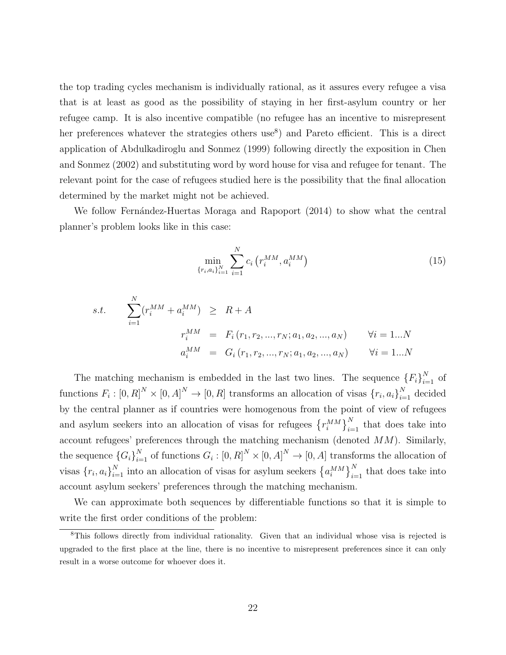the top trading cycles mechanism is individually rational, as it assures every refugee a visa that is at least as good as the possibility of staying in her first-asylum country or her refugee camp. It is also incentive compatible (no refugee has an incentive to misrepresent her preferences whatever the strategies others use<sup>8</sup>) and Pareto efficient. This is a direct application of Abdulkadiroglu and Sonmez (1999) following directly the exposition in Chen and Sonmez (2002) and substituting word by word house for visa and refugee for tenant. The relevant point for the case of refugees studied here is the possibility that the final allocation determined by the market might not be achieved.

We follow Fernández-Huertas Moraga and Rapoport (2014) to show what the central planner's problem looks like in this case:

$$
\min_{\{r_i, a_i\}_{i=1}^N} \sum_{i=1}^N c_i \left( r_i^{MM}, a_i^{MM} \right) \tag{15}
$$

s.t. 
$$
\sum_{i=1}^{N} (r_i^{MM} + a_i^{MM}) \geq R + A
$$

$$
r_i^{MM} = F_i(r_1, r_2, ..., r_N; a_1, a_2, ..., a_N) \qquad \forall i = 1...N
$$

$$
a_i^{MM} = G_i(r_1, r_2, ..., r_N; a_1, a_2, ..., a_N) \qquad \forall i = 1...N
$$

The matching mechanism is embedded in the last two lines. The sequence  ${F_i}_{i=1}^N$  of functions  $F_i : [0, R]^N \times [0, A]^N \to [0, R]$  transforms an allocation of visas  $\{r_i, a_i\}_{i=1}^N$  decided by the central planner as if countries were homogenous from the point of view of refugees and asylum seekers into an allocation of visas for refugees  $\{r_i^{MM}\}_{i=1}^N$  that does take into account refugees' preferences through the matching mechanism (denoted MM). Similarly, the sequence  ${G_i}_{i=1}^N$  of functions  $G_i: [0, R]^N \times [0, A]^N \to [0, A]$  transforms the allocation of visas  ${r_i, a_i}_{i=1}^N$  into an allocation of visas for asylum seekers  ${a_i^{MM}}_{i=1}^N$  that does take into account asylum seekers' preferences through the matching mechanism.

We can approximate both sequences by differentiable functions so that it is simple to write the first order conditions of the problem:

<sup>8</sup>This follows directly from individual rationality. Given that an individual whose visa is rejected is upgraded to the first place at the line, there is no incentive to misrepresent preferences since it can only result in a worse outcome for whoever does it.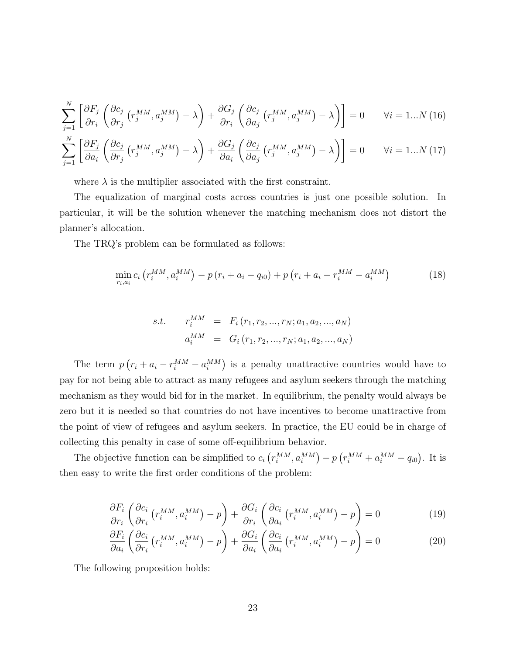$$
\sum_{j=1}^{N} \left[ \frac{\partial F_j}{\partial r_i} \left( \frac{\partial c_j}{\partial r_j} \left( r_j^{MM}, a_j^{MM} \right) - \lambda \right) + \frac{\partial G_j}{\partial r_i} \left( \frac{\partial c_j}{\partial a_j} \left( r_j^{MM}, a_j^{MM} \right) - \lambda \right) \right] = 0 \qquad \forall i = 1...N \ (16)
$$
  

$$
\sum_{j=1}^{N} \left[ \frac{\partial F_j}{\partial a_i} \left( \frac{\partial c_j}{\partial r_j} \left( r_j^{MM}, a_j^{MM} \right) - \lambda \right) + \frac{\partial G_j}{\partial a_i} \left( \frac{\partial c_j}{\partial a_j} \left( r_j^{MM}, a_j^{MM} \right) - \lambda \right) \right] = 0 \qquad \forall i = 1...N \ (17)
$$

where  $\lambda$  is the multiplier associated with the first constraint.

The equalization of marginal costs across countries is just one possible solution. In particular, it will be the solution whenever the matching mechanism does not distort the planner's allocation.

The TRQ's problem can be formulated as follows:

$$
\min_{r_i, a_i} c_i \left( r_i^{MM}, a_i^{MM} \right) - p \left( r_i + a_i - q_{i0} \right) + p \left( r_i + a_i - r_i^{MM} - a_i^{MM} \right) \tag{18}
$$

s.t. 
$$
r_i^{MM} = F_i(r_1, r_2, ..., r_N; a_1, a_2, ..., a_N)
$$
  
 $a_i^{MM} = G_i(r_1, r_2, ..., r_N; a_1, a_2, ..., a_N)$ 

The term  $p(r_i + a_i - r_i^{MM} - a_i^{MM})$  is a penalty unattractive countries would have to pay for not being able to attract as many refugees and asylum seekers through the matching mechanism as they would bid for in the market. In equilibrium, the penalty would always be zero but it is needed so that countries do not have incentives to become unattractive from the point of view of refugees and asylum seekers. In practice, the EU could be in charge of collecting this penalty in case of some off-equilibrium behavior.

The objective function can be simplified to  $c_i(r_i^{MM}, a_i^{MM}) - p(r_i^{MM} + a_i^{MM} - q_{i0})$ . It is then easy to write the first order conditions of the problem:

$$
\frac{\partial F_i}{\partial r_i} \left( \frac{\partial c_i}{\partial r_i} \left( r_i^{MM}, a_i^{MM} \right) - p \right) + \frac{\partial G_i}{\partial r_i} \left( \frac{\partial c_i}{\partial a_i} \left( r_i^{MM}, a_i^{MM} \right) - p \right) = 0 \tag{19}
$$

$$
\frac{\partial F_i}{\partial a_i} \left( \frac{\partial c_i}{\partial r_i} \left( r_i^{MM}, a_i^{MM} \right) - p \right) + \frac{\partial G_i}{\partial a_i} \left( \frac{\partial c_i}{\partial a_i} \left( r_i^{MM}, a_i^{MM} \right) - p \right) = 0 \tag{20}
$$

The following proposition holds: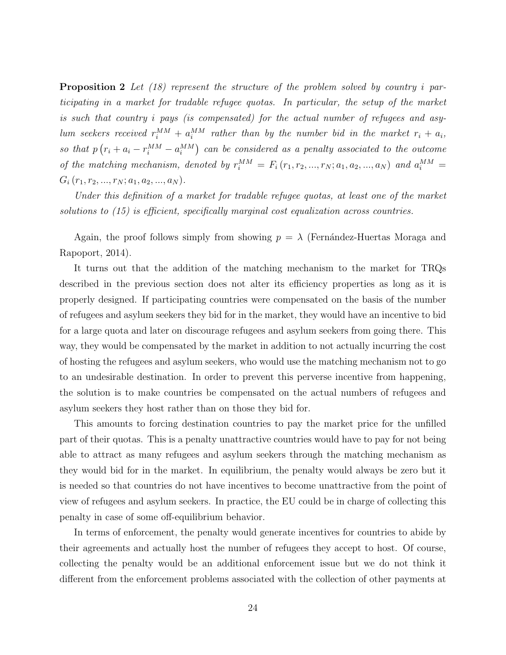**Proposition 2** Let  $(18)$  represent the structure of the problem solved by country i participating in a market for tradable refugee quotas. In particular, the setup of the market is such that country i pays (is compensated) for the actual number of refugees and asylum seekers received  $r_i^{MM} + a_i^{MM}$  rather than by the number bid in the market  $r_i + a_i$ , so that  $p(r_i + a_i - r_i^{MM} - a_i^{MM})$  can be considered as a penalty associated to the outcome of the matching mechanism, denoted by  $r_i^{MM} = F_i(r_1, r_2, ..., r_N; a_1, a_2, ..., a_N)$  and  $a_i^{MM} =$  $G_i(r_1, r_2, ..., r_N; a_1, a_2, ..., a_N).$ 

Under this definition of a market for tradable refugee quotas, at least one of the market solutions to  $(15)$  is efficient, specifically marginal cost equalization across countries.

Again, the proof follows simply from showing  $p = \lambda$  (Fernández-Huertas Moraga and Rapoport, 2014).

It turns out that the addition of the matching mechanism to the market for TRQs described in the previous section does not alter its efficiency properties as long as it is properly designed. If participating countries were compensated on the basis of the number of refugees and asylum seekers they bid for in the market, they would have an incentive to bid for a large quota and later on discourage refugees and asylum seekers from going there. This way, they would be compensated by the market in addition to not actually incurring the cost of hosting the refugees and asylum seekers, who would use the matching mechanism not to go to an undesirable destination. In order to prevent this perverse incentive from happening, the solution is to make countries be compensated on the actual numbers of refugees and asylum seekers they host rather than on those they bid for.

This amounts to forcing destination countries to pay the market price for the unfilled part of their quotas. This is a penalty unattractive countries would have to pay for not being able to attract as many refugees and asylum seekers through the matching mechanism as they would bid for in the market. In equilibrium, the penalty would always be zero but it is needed so that countries do not have incentives to become unattractive from the point of view of refugees and asylum seekers. In practice, the EU could be in charge of collecting this penalty in case of some off-equilibrium behavior.

In terms of enforcement, the penalty would generate incentives for countries to abide by their agreements and actually host the number of refugees they accept to host. Of course, collecting the penalty would be an additional enforcement issue but we do not think it different from the enforcement problems associated with the collection of other payments at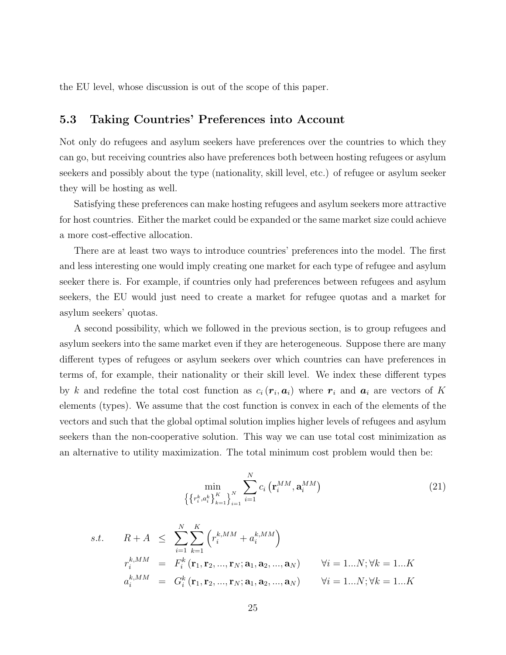the EU level, whose discussion is out of the scope of this paper.

#### 5.3 Taking Countries' Preferences into Account

Not only do refugees and asylum seekers have preferences over the countries to which they can go, but receiving countries also have preferences both between hosting refugees or asylum seekers and possibly about the type (nationality, skill level, etc.) of refugee or asylum seeker they will be hosting as well.

Satisfying these preferences can make hosting refugees and asylum seekers more attractive for host countries. Either the market could be expanded or the same market size could achieve a more cost-effective allocation.

There are at least two ways to introduce countries' preferences into the model. The first and less interesting one would imply creating one market for each type of refugee and asylum seeker there is. For example, if countries only had preferences between refugees and asylum seekers, the EU would just need to create a market for refugee quotas and a market for asylum seekers' quotas.

A second possibility, which we followed in the previous section, is to group refugees and asylum seekers into the same market even if they are heterogeneous. Suppose there are many different types of refugees or asylum seekers over which countries can have preferences in terms of, for example, their nationality or their skill level. We index these different types by k and redefine the total cost function as  $c_i(r_i, a_i)$  where  $r_i$  and  $a_i$  are vectors of K elements (types). We assume that the cost function is convex in each of the elements of the vectors and such that the global optimal solution implies higher levels of refugees and asylum seekers than the non-cooperative solution. This way we can use total cost minimization as an alternative to utility maximization. The total minimum cost problem would then be:

$$
\min_{\left\{\left\{r_i^k, a_i^k\right\}_{k=1}^K\right\}_{i=1}^N} \sum_{i=1}^N c_i \left(\mathbf{r}_i^{MM}, \mathbf{a}_i^{MM}\right) \tag{21}
$$

s.t. 
$$
R + A \leq \sum_{i=1}^{N} \sum_{k=1}^{K} (r_i^{k,MM} + a_i^{k,MM})
$$
  
\n $r_i^{k,MM} = F_i^k(\mathbf{r}_1, \mathbf{r}_2, ..., \mathbf{r}_N; \mathbf{a}_1, \mathbf{a}_2, ..., \mathbf{a}_N)$   $\forall i = 1...N; \forall k = 1...K$   
\n $a_i^{k,MM} = G_i^k(\mathbf{r}_1, \mathbf{r}_2, ..., \mathbf{r}_N; \mathbf{a}_1, \mathbf{a}_2, ..., \mathbf{a}_N)$   $\forall i = 1...N; \forall k = 1...K$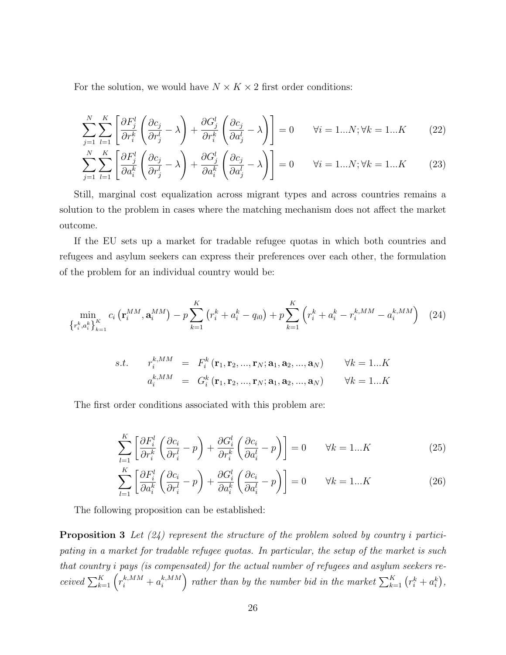For the solution, we would have  $N \times K \times 2$  first order conditions:

$$
\sum_{j=1}^{N} \sum_{l=1}^{K} \left[ \frac{\partial F_{j}^{l}}{\partial r_{i}^{k}} \left( \frac{\partial c_{j}}{\partial r_{j}^{l}} - \lambda \right) + \frac{\partial G_{j}^{l}}{\partial r_{i}^{k}} \left( \frac{\partial c_{j}}{\partial a_{j}^{l}} - \lambda \right) \right] = 0 \qquad \forall i = 1...N; \forall k = 1...K \qquad (22)
$$

$$
\sum_{j=1}^{N} \sum_{l=1}^{K} \left[ \frac{\partial F_{j}^{l}}{\partial a_{i}^{k}} \left( \frac{\partial c_{j}}{\partial r_{j}^{l}} - \lambda \right) + \frac{\partial G_{j}^{l}}{\partial a_{i}^{k}} \left( \frac{\partial c_{j}}{\partial a_{j}^{l}} - \lambda \right) \right] = 0 \qquad \forall i = 1...N; \forall k = 1...K \qquad (23)
$$

Still, marginal cost equalization across migrant types and across countries remains a solution to the problem in cases where the matching mechanism does not affect the market outcome.

If the EU sets up a market for tradable refugee quotas in which both countries and refugees and asylum seekers can express their preferences over each other, the formulation of the problem for an individual country would be:

$$
\min_{\left\{r_i^k, a_i^k\right\}_{k=1}^K} c_i \left(\mathbf{r}_i^{MM}, \mathbf{a}_i^{MM}\right) - p \sum_{k=1}^K \left(r_i^k + a_i^k - q_{i0}\right) + p \sum_{k=1}^K \left(r_i^k + a_i^k - r_i^{k, MM} - a_i^{k, MM}\right) \tag{24}
$$

s.t. 
$$
r_i^{k,MM} = F_i^k(\mathbf{r}_1, \mathbf{r}_2, ..., \mathbf{r}_N; \mathbf{a}_1, \mathbf{a}_2, ..., \mathbf{a}_N)
$$
  $\forall k = 1...K$   
 $a_i^{k,MM} = G_i^k(\mathbf{r}_1, \mathbf{r}_2, ..., \mathbf{r}_N; \mathbf{a}_1, \mathbf{a}_2, ..., \mathbf{a}_N)$   $\forall k = 1...K$ 

The first order conditions associated with this problem are:

$$
\sum_{l=1}^{K} \left[ \frac{\partial F_i^l}{\partial r_i^k} \left( \frac{\partial c_i}{\partial r_i^l} - p \right) + \frac{\partial G_i^l}{\partial r_i^k} \left( \frac{\partial c_i}{\partial a_i^l} - p \right) \right] = 0 \qquad \forall k = 1...K
$$
\n(25)

$$
\sum_{l=1}^{K} \left[ \frac{\partial F_i^l}{\partial a_i^k} \left( \frac{\partial c_i}{\partial r_i^l} - p \right) + \frac{\partial G_i^l}{\partial a_i^k} \left( \frac{\partial c_i}{\partial a_i^l} - p \right) \right] = 0 \qquad \forall k = 1...K
$$
 (26)

The following proposition can be established:

**Proposition 3** Let  $(24)$  represent the structure of the problem solved by country i participating in a market for tradable refugee quotas. In particular, the setup of the market is such that country i pays (is compensated) for the actual number of refugees and asylum seekers received  $\sum_{k=1}^{K} \left( r_i^{k,MM} + a_i^{k,MM} \right)$ ) rather than by the number bid in the market  $\sum_{k=1}^{K} (r_i^k + a_i^k)$ ,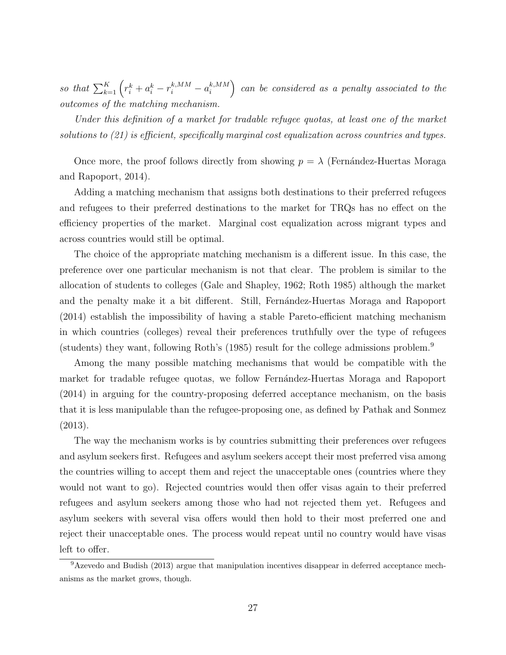so that  $\sum_{k=1}^{K} \left( r_i^k + a_i^k - r_i^{k,MM} - a_i^{k,MM} \right)$ . can be considered as a penalty associated to the outcomes of the matching mechanism.

Under this definition of a market for tradable refugee quotas, at least one of the market solutions to (21) is efficient, specifically marginal cost equalization across countries and types.

Once more, the proof follows directly from showing  $p = \lambda$  (Fernández-Huertas Moraga and Rapoport, 2014).

Adding a matching mechanism that assigns both destinations to their preferred refugees and refugees to their preferred destinations to the market for TRQs has no effect on the efficiency properties of the market. Marginal cost equalization across migrant types and across countries would still be optimal.

The choice of the appropriate matching mechanism is a different issue. In this case, the preference over one particular mechanism is not that clear. The problem is similar to the allocation of students to colleges (Gale and Shapley, 1962; Roth 1985) although the market and the penalty make it a bit different. Still, Fernandez-Huertas Moraga and Rapoport (2014) establish the impossibility of having a stable Pareto-efficient matching mechanism in which countries (colleges) reveal their preferences truthfully over the type of refugees (students) they want, following Roth's (1985) result for the college admissions problem.<sup>9</sup>

Among the many possible matching mechanisms that would be compatible with the market for tradable refugee quotas, we follow Fernández-Huertas Moraga and Rapoport (2014) in arguing for the country-proposing deferred acceptance mechanism, on the basis that it is less manipulable than the refugee-proposing one, as defined by Pathak and Sonmez (2013).

The way the mechanism works is by countries submitting their preferences over refugees and asylum seekers first. Refugees and asylum seekers accept their most preferred visa among the countries willing to accept them and reject the unacceptable ones (countries where they would not want to go). Rejected countries would then offer visas again to their preferred refugees and asylum seekers among those who had not rejected them yet. Refugees and asylum seekers with several visa offers would then hold to their most preferred one and reject their unacceptable ones. The process would repeat until no country would have visas left to offer.

<sup>9</sup>Azevedo and Budish (2013) argue that manipulation incentives disappear in deferred acceptance mechanisms as the market grows, though.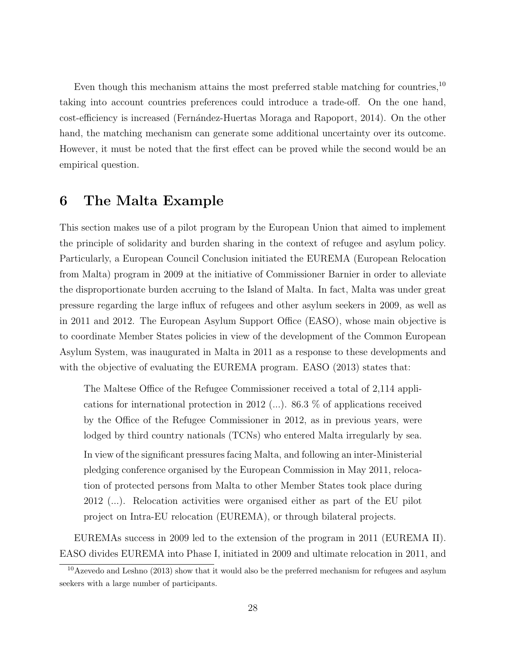Even though this mechanism attains the most preferred stable matching for countries,<sup>10</sup> taking into account countries preferences could introduce a trade-off. On the one hand, cost-efficiency is increased (Fernández-Huertas Moraga and Rapoport, 2014). On the other hand, the matching mechanism can generate some additional uncertainty over its outcome. However, it must be noted that the first effect can be proved while the second would be an empirical question.

### 6 The Malta Example

This section makes use of a pilot program by the European Union that aimed to implement the principle of solidarity and burden sharing in the context of refugee and asylum policy. Particularly, a European Council Conclusion initiated the EUREMA (European Relocation from Malta) program in 2009 at the initiative of Commissioner Barnier in order to alleviate the disproportionate burden accruing to the Island of Malta. In fact, Malta was under great pressure regarding the large influx of refugees and other asylum seekers in 2009, as well as in 2011 and 2012. The European Asylum Support Office (EASO), whose main objective is to coordinate Member States policies in view of the development of the Common European Asylum System, was inaugurated in Malta in 2011 as a response to these developments and with the objective of evaluating the EUREMA program. EASO (2013) states that:

The Maltese Office of the Refugee Commissioner received a total of 2,114 applications for international protection in 2012 (...). 86.3 % of applications received by the Office of the Refugee Commissioner in 2012, as in previous years, were lodged by third country nationals (TCNs) who entered Malta irregularly by sea. In view of the significant pressures facing Malta, and following an inter-Ministerial pledging conference organised by the European Commission in May 2011, relocation of protected persons from Malta to other Member States took place during 2012 (...). Relocation activities were organised either as part of the EU pilot project on Intra-EU relocation (EUREMA), or through bilateral projects.

EUREMAs success in 2009 led to the extension of the program in 2011 (EUREMA II). EASO divides EUREMA into Phase I, initiated in 2009 and ultimate relocation in 2011, and

 $10$ Azevedo and Leshno (2013) show that it would also be the preferred mechanism for refugees and asylum seekers with a large number of participants.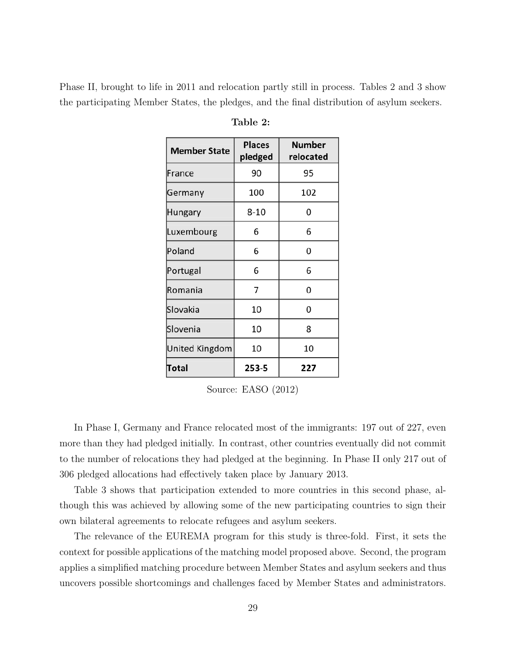Phase II, brought to life in 2011 and relocation partly still in process. Tables 2 and 3 show the participating Member States, the pledges, and the final distribution of asylum seekers.

| <b>Member State</b>   | <b>Places</b><br>pledged | <b>Number</b><br>relocated |  |
|-----------------------|--------------------------|----------------------------|--|
| France                | 90                       | 95                         |  |
| Germany               | 100                      | 102                        |  |
| Hungary               | $8 - 10$                 | 0                          |  |
| Luxembourg            | 6                        | 6                          |  |
| Poland                | 6                        | 0                          |  |
| Portugal              | 6                        | 6                          |  |
| Romania               | 7                        | 0                          |  |
| Slovakia              | 10                       | 0                          |  |
| Slovenia              | 10                       | 8                          |  |
| <b>United Kingdom</b> | 10                       | 10                         |  |
| Total                 | 253-5                    | 227                        |  |

Table 2:

Source: EASO (2012)

In Phase I, Germany and France relocated most of the immigrants: 197 out of 227, even more than they had pledged initially. In contrast, other countries eventually did not commit to the number of relocations they had pledged at the beginning. In Phase II only 217 out of 306 pledged allocations had effectively taken place by January 2013.

Table 3 shows that participation extended to more countries in this second phase, although this was achieved by allowing some of the new participating countries to sign their own bilateral agreements to relocate refugees and asylum seekers.

The relevance of the EUREMA program for this study is three-fold. First, it sets the context for possible applications of the matching model proposed above. Second, the program applies a simplified matching procedure between Member States and asylum seekers and thus uncovers possible shortcomings and challenges faced by Member States and administrators.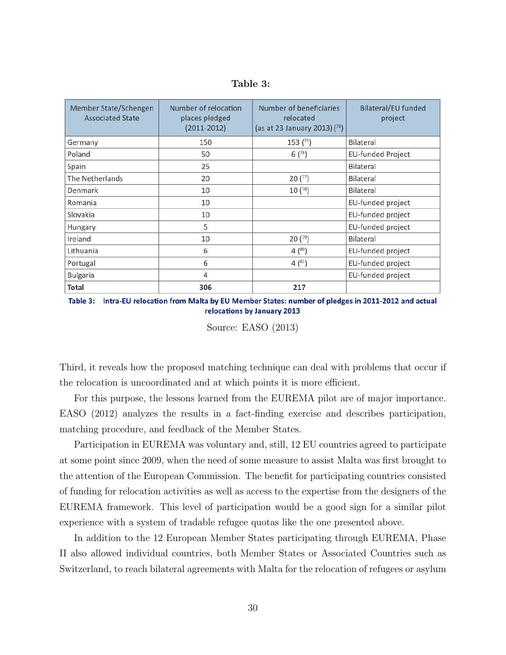| Table 3: |  |
|----------|--|
|----------|--|

| Member State/Schengen<br><b>Associated State</b> | Number of relocation<br>places pledged<br>$(2011 - 2012)$ | Number of beneficiaries<br>relocated<br>(as at 23 January 2013) $(74)$ | Bilateral/EU funded<br>project |
|--------------------------------------------------|-----------------------------------------------------------|------------------------------------------------------------------------|--------------------------------|
| Germany                                          | 150                                                       | 153 <sup>(75)</sup>                                                    | Bilateral                      |
| Poland                                           | 50                                                        | 6(76)                                                                  | EU-funded Project              |
| Spain                                            | 25                                                        |                                                                        | Bilateral                      |
| The Netherlands                                  | 20                                                        | 20(77)                                                                 | Bilateral                      |
| Denmark                                          | 10                                                        | 10(78)                                                                 | Bilateral                      |
| Romania                                          | 10                                                        |                                                                        | EU-funded project              |
| Slovakia                                         | 10                                                        |                                                                        | EU-funded project              |
| Hungary                                          | 5                                                         |                                                                        | EU-funded project              |
| Ireland                                          | 10                                                        | $20(^{79})$                                                            | Bilateral                      |
| Lithuania                                        | 6                                                         | $4^{(80)}$                                                             | EU-funded project              |
| Portugal                                         | 6                                                         | 4 <sup>(81)</sup>                                                      | EU-funded project              |
| Bulgaria                                         | 4                                                         |                                                                        | EU-funded project              |
| Total                                            | 306                                                       | 217                                                                    |                                |

Table 3: Intra-EU relocation from Malta by EU Member States: number of pledges in 2011-2012 and actual relocations by January 2013

Source: EASO (2013)

Third, it reveals how the proposed matching technique can deal with problems that occur if the relocation is uncoordinated and at which points it is more efficient.

For this purpose, the lessons learned from the EUREMA pilot are of major importance. EASO (2012) analyzes the results in a fact-finding exercise and describes participation, matching procedure, and feedback of the Member States.

Participation in EUREMA was voluntary and, still, 12 EU countries agreed to participate at some point since 2009, when the need of some measure to assist Malta was first brought to the attention of the European Commission. The benefit for participating countries consisted of funding for relocation activities as well as access to the expertise from the designers of the EUREMA framework. This level of participation would be a good sign for a similar pilot experience with a system of tradable refugee quotas like the one presented above.

In addition to the 12 European Member States participating through EUREMA, Phase II also allowed individual countries, both Member States or Associated Countries such as Switzerland, to reach bilateral agreements with Malta for the relocation of refugees or asylum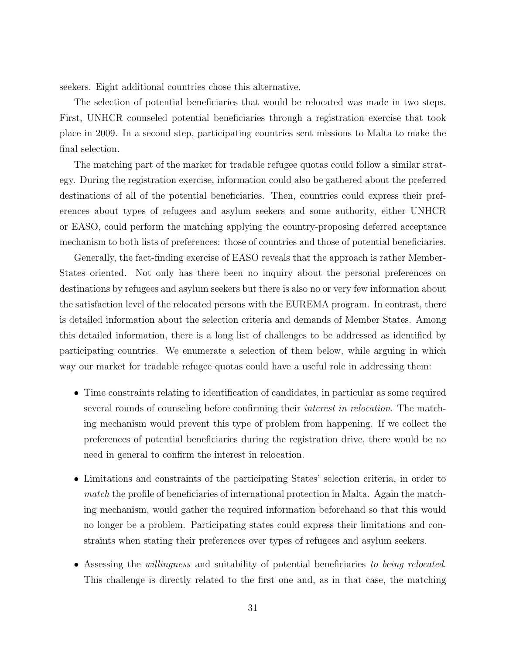seekers. Eight additional countries chose this alternative.

The selection of potential beneficiaries that would be relocated was made in two steps. First, UNHCR counseled potential beneficiaries through a registration exercise that took place in 2009. In a second step, participating countries sent missions to Malta to make the final selection.

The matching part of the market for tradable refugee quotas could follow a similar strategy. During the registration exercise, information could also be gathered about the preferred destinations of all of the potential beneficiaries. Then, countries could express their preferences about types of refugees and asylum seekers and some authority, either UNHCR or EASO, could perform the matching applying the country-proposing deferred acceptance mechanism to both lists of preferences: those of countries and those of potential beneficiaries.

Generally, the fact-finding exercise of EASO reveals that the approach is rather Member-States oriented. Not only has there been no inquiry about the personal preferences on destinations by refugees and asylum seekers but there is also no or very few information about the satisfaction level of the relocated persons with the EUREMA program. In contrast, there is detailed information about the selection criteria and demands of Member States. Among this detailed information, there is a long list of challenges to be addressed as identified by participating countries. We enumerate a selection of them below, while arguing in which way our market for tradable refugee quotas could have a useful role in addressing them:

- Time constraints relating to identification of candidates, in particular as some required several rounds of counseling before confirming their interest in relocation. The matching mechanism would prevent this type of problem from happening. If we collect the preferences of potential beneficiaries during the registration drive, there would be no need in general to confirm the interest in relocation.
- Limitations and constraints of the participating States' selection criteria, in order to match the profile of beneficiaries of international protection in Malta. Again the matching mechanism, would gather the required information beforehand so that this would no longer be a problem. Participating states could express their limitations and constraints when stating their preferences over types of refugees and asylum seekers.
- Assessing the *willingness* and suitability of potential beneficiaries to being relocated. This challenge is directly related to the first one and, as in that case, the matching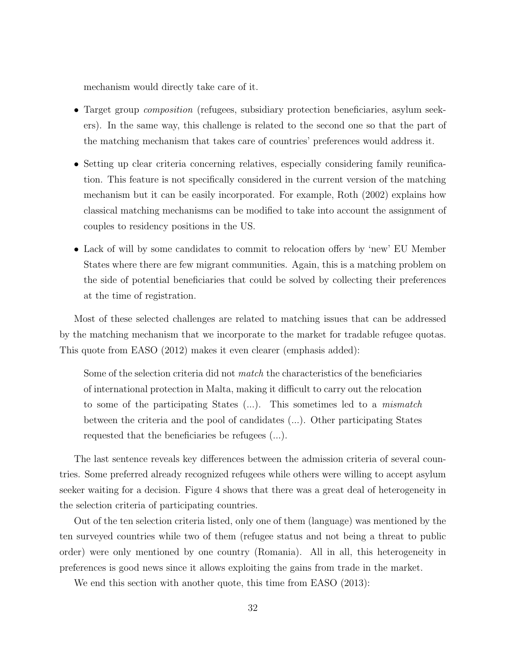mechanism would directly take care of it.

- Target group composition (refugees, subsidiary protection beneficiaries, asylum seekers). In the same way, this challenge is related to the second one so that the part of the matching mechanism that takes care of countries' preferences would address it.
- Setting up clear criteria concerning relatives, especially considering family reunification. This feature is not specifically considered in the current version of the matching mechanism but it can be easily incorporated. For example, Roth (2002) explains how classical matching mechanisms can be modified to take into account the assignment of couples to residency positions in the US.
- Lack of will by some candidates to commit to relocation offers by 'new' EU Member States where there are few migrant communities. Again, this is a matching problem on the side of potential beneficiaries that could be solved by collecting their preferences at the time of registration.

Most of these selected challenges are related to matching issues that can be addressed by the matching mechanism that we incorporate to the market for tradable refugee quotas. This quote from EASO (2012) makes it even clearer (emphasis added):

Some of the selection criteria did not match the characteristics of the beneficiaries of international protection in Malta, making it difficult to carry out the relocation to some of the participating States (...). This sometimes led to a mismatch between the criteria and the pool of candidates (...). Other participating States requested that the beneficiaries be refugees (...).

The last sentence reveals key differences between the admission criteria of several countries. Some preferred already recognized refugees while others were willing to accept asylum seeker waiting for a decision. Figure 4 shows that there was a great deal of heterogeneity in the selection criteria of participating countries.

Out of the ten selection criteria listed, only one of them (language) was mentioned by the ten surveyed countries while two of them (refugee status and not being a threat to public order) were only mentioned by one country (Romania). All in all, this heterogeneity in preferences is good news since it allows exploiting the gains from trade in the market.

We end this section with another quote, this time from EASO (2013):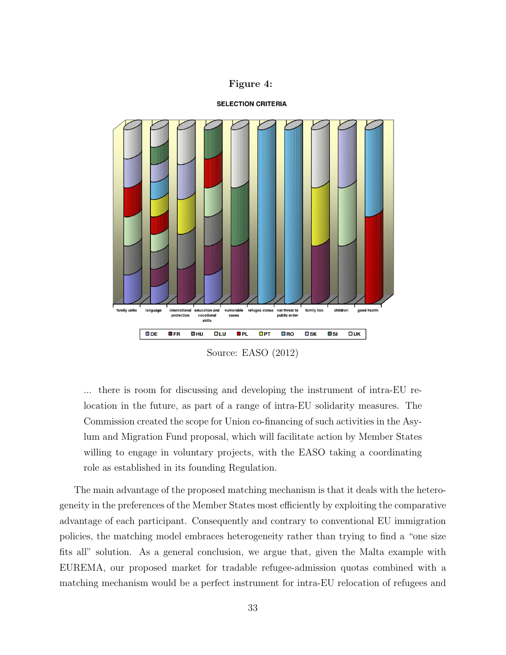#### Figure 4:

#### **SELECTION CRITERIA**



Source: EASO (2012)

... there is room for discussing and developing the instrument of intra-EU relocation in the future, as part of a range of intra-EU solidarity measures. The Commission created the scope for Union co-financing of such activities in the Asylum and Migration Fund proposal, which will facilitate action by Member States willing to engage in voluntary projects, with the EASO taking a coordinating role as established in its founding Regulation.

The main advantage of the proposed matching mechanism is that it deals with the heterogeneity in the preferences of the Member States most efficiently by exploiting the comparative advantage of each participant. Consequently and contrary to conventional EU immigration policies, the matching model embraces heterogeneity rather than trying to find a "one size fits all" solution. As a general conclusion, we argue that, given the Malta example with EUREMA, our proposed market for tradable refugee-admission quotas combined with a matching mechanism would be a perfect instrument for intra-EU relocation of refugees and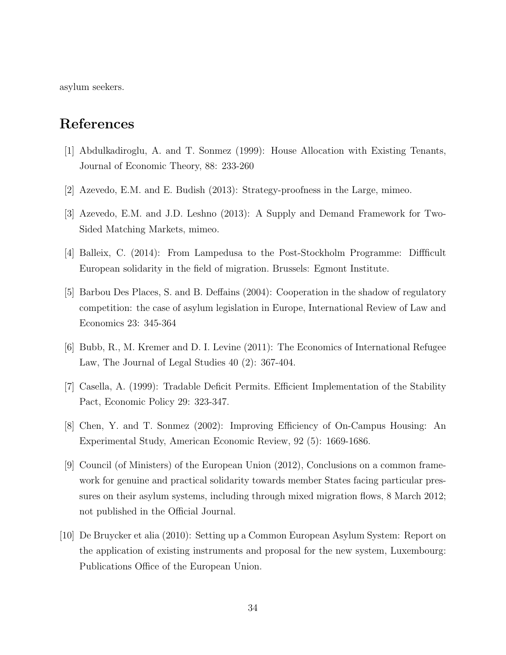asylum seekers.

### References

- [1] Abdulkadiroglu, A. and T. Sonmez (1999): House Allocation with Existing Tenants, Journal of Economic Theory, 88: 233-260
- [2] Azevedo, E.M. and E. Budish (2013): Strategy-proofness in the Large, mimeo.
- [3] Azevedo, E.M. and J.D. Leshno (2013): A Supply and Demand Framework for Two-Sided Matching Markets, mimeo.
- [4] Balleix, C. (2014): From Lampedusa to the Post-Stockholm Programme: Diffficult European solidarity in the field of migration. Brussels: Egmont Institute.
- [5] Barbou Des Places, S. and B. Deffains (2004): Cooperation in the shadow of regulatory competition: the case of asylum legislation in Europe, International Review of Law and Economics 23: 345-364
- [6] Bubb, R., M. Kremer and D. I. Levine (2011): The Economics of International Refugee Law, The Journal of Legal Studies 40 (2): 367-404.
- [7] Casella, A. (1999): Tradable Deficit Permits. Efficient Implementation of the Stability Pact, Economic Policy 29: 323-347.
- [8] Chen, Y. and T. Sonmez (2002): Improving Efficiency of On-Campus Housing: An Experimental Study, American Economic Review, 92 (5): 1669-1686.
- [9] Council (of Ministers) of the European Union (2012), Conclusions on a common framework for genuine and practical solidarity towards member States facing particular pressures on their asylum systems, including through mixed migration flows, 8 March 2012; not published in the Official Journal.
- [10] De Bruycker et alia (2010): Setting up a Common European Asylum System: Report on the application of existing instruments and proposal for the new system, Luxembourg: Publications Office of the European Union.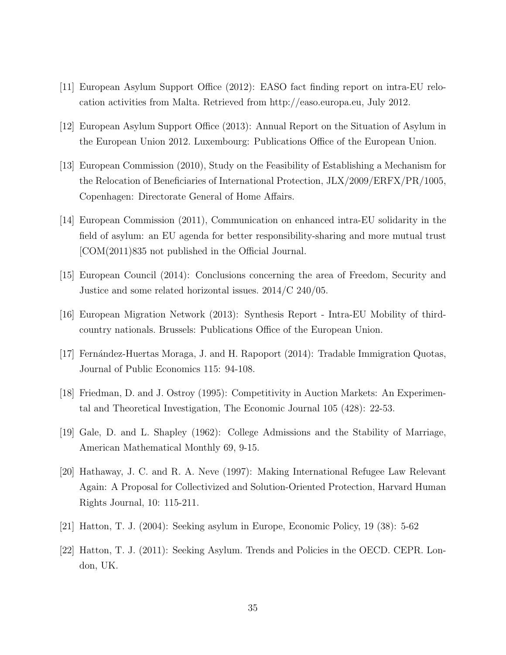- [11] European Asylum Support Office (2012): EASO fact finding report on intra-EU relocation activities from Malta. Retrieved from http://easo.europa.eu, July 2012.
- [12] European Asylum Support Office (2013): Annual Report on the Situation of Asylum in the European Union 2012. Luxembourg: Publications Office of the European Union.
- [13] European Commission (2010), Study on the Feasibility of Establishing a Mechanism for the Relocation of Beneficiaries of International Protection, JLX/2009/ERFX/PR/1005, Copenhagen: Directorate General of Home Affairs.
- [14] European Commission (2011), Communication on enhanced intra-EU solidarity in the field of asylum: an EU agenda for better responsibility-sharing and more mutual trust [COM(2011)835 not published in the Official Journal.
- [15] European Council (2014): Conclusions concerning the area of Freedom, Security and Justice and some related horizontal issues. 2014/C 240/05.
- [16] European Migration Network (2013): Synthesis Report Intra-EU Mobility of thirdcountry nationals. Brussels: Publications Office of the European Union.
- [17] Fernández-Huertas Moraga, J. and H. Rapoport (2014): Tradable Immigration Quotas, Journal of Public Economics 115: 94-108.
- [18] Friedman, D. and J. Ostroy (1995): Competitivity in Auction Markets: An Experimental and Theoretical Investigation, The Economic Journal 105 (428): 22-53.
- [19] Gale, D. and L. Shapley (1962): College Admissions and the Stability of Marriage, American Mathematical Monthly 69, 9-15.
- [20] Hathaway, J. C. and R. A. Neve (1997): Making International Refugee Law Relevant Again: A Proposal for Collectivized and Solution-Oriented Protection, Harvard Human Rights Journal, 10: 115-211.
- [21] Hatton, T. J. (2004): Seeking asylum in Europe, Economic Policy, 19 (38): 5-62
- [22] Hatton, T. J. (2011): Seeking Asylum. Trends and Policies in the OECD. CEPR. London, UK.